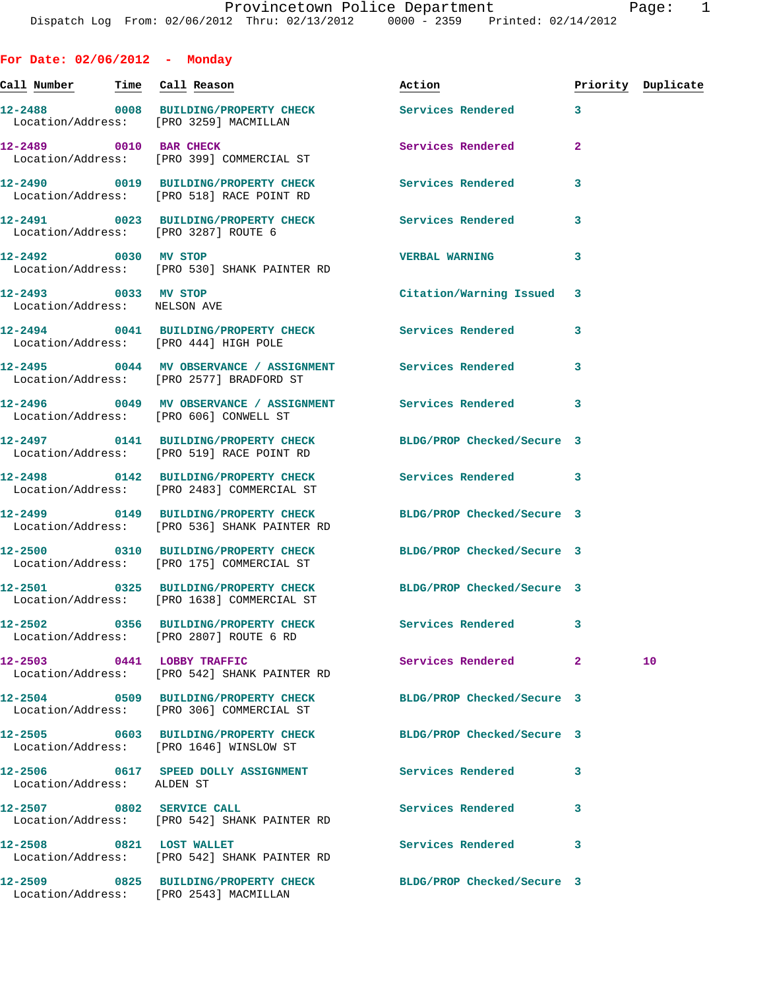**For Date: 02/06/2012 - Monday Call Number Time Call Reason Action Priority Duplicate 12-2488 0008 BUILDING/PROPERTY CHECK Services Rendered 3**  Location/Address: [PRO 3259] MACMILLAN **12-2489 0010 BAR CHECK Services Rendered 2**  Location/Address: [PRO 399] COMMERCIAL ST **12-2490 0019 BUILDING/PROPERTY CHECK Services Rendered 3**  Location/Address: [PRO 518] RACE POINT RD **12-2491 0023 BUILDING/PROPERTY CHECK Services Rendered 3**  Location/Address: [PRO 3287] ROUTE 6 **12-2492 0030 MV STOP VERBAL WARNING 3**  Location/Address: [PRO 530] SHANK PAINTER RD **12-2493 0033 MV STOP Citation/Warning Issued 3**  Location/Address: NELSON AVE **12-2494 0041 BUILDING/PROPERTY CHECK Services Rendered 3**  Location/Address: [PRO 444] HIGH POLE **12-2495 0044 MV OBSERVANCE / ASSIGNMENT Services Rendered 3**  Location/Address: [PRO 2577] BRADFORD ST **12-2496 0049 MV OBSERVANCE / ASSIGNMENT Services Rendered 3**  Location/Address: [PRO 606] CONWELL ST **12-2497 0141 BUILDING/PROPERTY CHECK BLDG/PROP Checked/Secure 3**  Location/Address: [PRO 519] RACE POINT RD **12-2498 0142 BUILDING/PROPERTY CHECK Services Rendered 3**  Location/Address: [PRO 2483] COMMERCIAL ST **12-2499 0149 BUILDING/PROPERTY CHECK BLDG/PROP Checked/Secure 3**  Location/Address: [PRO 536] SHANK PAINTER RD **12-2500 0310 BUILDING/PROPERTY CHECK BLDG/PROP Checked/Secure 3**  Location/Address: [PRO 175] COMMERCIAL ST **12-2501 0325 BUILDING/PROPERTY CHECK BLDG/PROP Checked/Secure 3**  Location/Address: [PRO 1638] COMMERCIAL ST **12-2502 0356 BUILDING/PROPERTY CHECK Services Rendered 3**  Location/Address: [PRO 2807] ROUTE 6 RD **12-2503 0441 LOBBY TRAFFIC Services Rendered 2 10**  Location/Address: [PRO 542] SHANK PAINTER RD **12-2504 0509 BUILDING/PROPERTY CHECK BLDG/PROP Checked/Secure 3**  Location/Address: [PRO 306] COMMERCIAL ST **12-2505 0603 BUILDING/PROPERTY CHECK BLDG/PROP Checked/Secure 3**  Location/Address: [PRO 1646] WINSLOW ST **12-2506 0617 SPEED DOLLY ASSIGNMENT Services Rendered 3**  Location/Address: ALDEN ST **12-2507 0802 SERVICE CALL Services Rendered 3**  Location/Address: [PRO 542] SHANK PAINTER RD

12-2508 0821 LOST WALLET **12-2508** Services Rendered 3 Location/Address: [PRO 542] SHANK PAINTER RD

Location/Address: [PRO 2543] MACMILLAN

**12-2509 0825 BUILDING/PROPERTY CHECK BLDG/PROP Checked/Secure 3**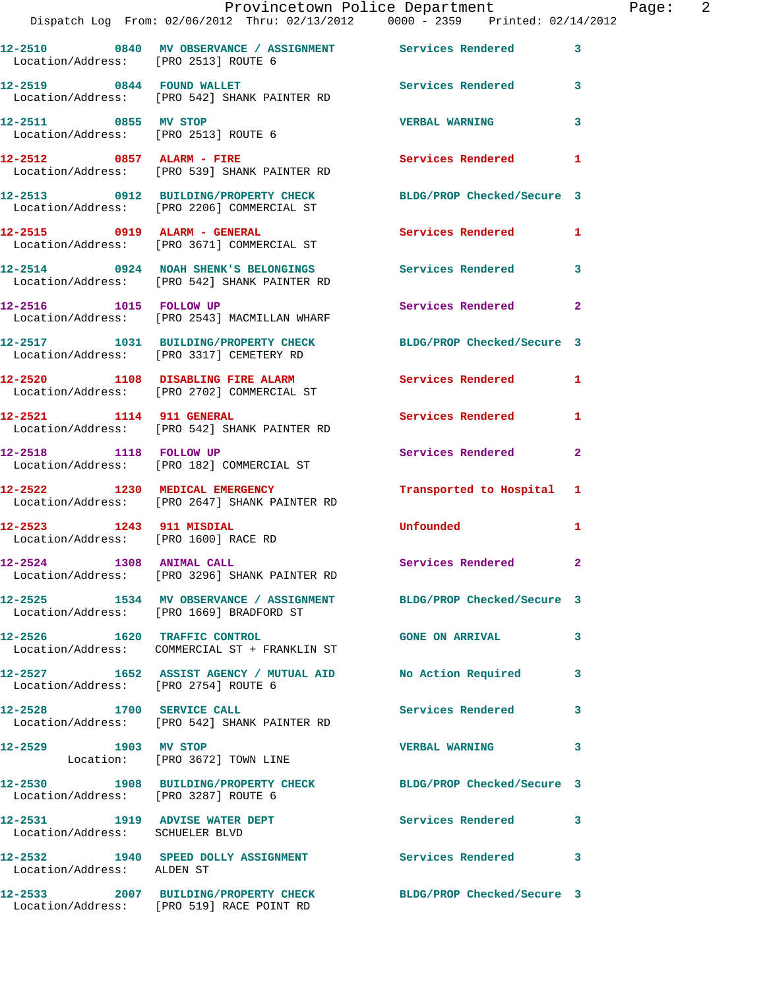**12-2511 0855 MV STOP VERBAL WARNING 3**  Location/Address: [PRO 2513] ROUTE 6

Location/Address: [PRO 539] SHANK PAINTER RD

Location/Address: [PRO 2206] COMMERCIAL ST

Location/Address: [PRO 3671] COMMERCIAL ST

Location/Address: [PRO 1600] RACE RD

Location/Address: [PRO 1669] BRADFORD ST

Location/Address: [PRO 3287] ROUTE 6

Location/Address: SCHUELER BLVD

Location/Address: ALDEN ST

**12-2512 0857 ALARM - FIRE Services Rendered 1** 

**12-2513 0912 BUILDING/PROPERTY CHECK BLDG/PROP Checked/Secure 3** 

**12-2515 0919 ALARM - GENERAL Services Rendered 1** 

**12-2514 0924 NOAH SHENK'S BELONGINGS Services Rendered 3**  Location/Address: [PRO 542] SHANK PAINTER RD

**12-2516 1015 FOLLOW UP Services Rendered 2**  Location/Address: [PRO 2543] MACMILLAN WHARF

**12-2517 1031 BUILDING/PROPERTY CHECK BLDG/PROP Checked/Secure 3**  Location/Address: [PRO 3317] CEMETERY RD

Location/Address: [PRO 2702] COMMERCIAL ST

Location/Address: [PRO 542] SHANK PAINTER RD

Location/Address: [PRO 182] COMMERCIAL ST

Location/Address: [PRO 2647] SHANK PAINTER RD

**12-2524 1308 ANIMAL CALL Services Rendered 2**  Location/Address: [PRO 3296] SHANK PAINTER RD

**12-2525 1534 MV OBSERVANCE / ASSIGNMENT BLDG/PROP Checked/Secure 3** 

**12-2526 1620 TRAFFIC CONTROL GONE ON ARRIVAL 3**  Location/Address: COMMERCIAL ST + FRANKLIN ST

**12-2527 1652 ASSIST AGENCY / MUTUAL AID No Action Required 3**  Location/Address: [PRO 2754] ROUTE 6

**12-2528 1700 SERVICE CALL Services Rendered 3**  Location/Address: [PRO 542] SHANK PAINTER RD

Location: [PRO 3672] TOWN LINE

**12-2531 1919 ADVISE WATER DEPT Services Rendered 3** 

**12-2532 1940 SPEED DOLLY ASSIGNMENT Services Rendered 3** 

**12-2533 2007 BUILDING/PROPERTY CHECK BLDG/PROP Checked/Secure 3**  Location/Address: [PRO 519] RACE POINT RD

**12-2520 1108 DISABLING FIRE ALARM Services Rendered 1** 

**12-2521 1114 911 GENERAL Services Rendered 1** 

**12-2518 1118 FOLLOW UP Services Rendered 2** 

**12-2522 1230 MEDICAL EMERGENCY Transported to Hospital 1** 

**12-2523 1243 911 MISDIAL Unfounded 1** 

**12-2529 1903 MV STOP VERBAL WARNING 3** 

**12-2530 1908 BUILDING/PROPERTY CHECK BLDG/PROP Checked/Secure 3**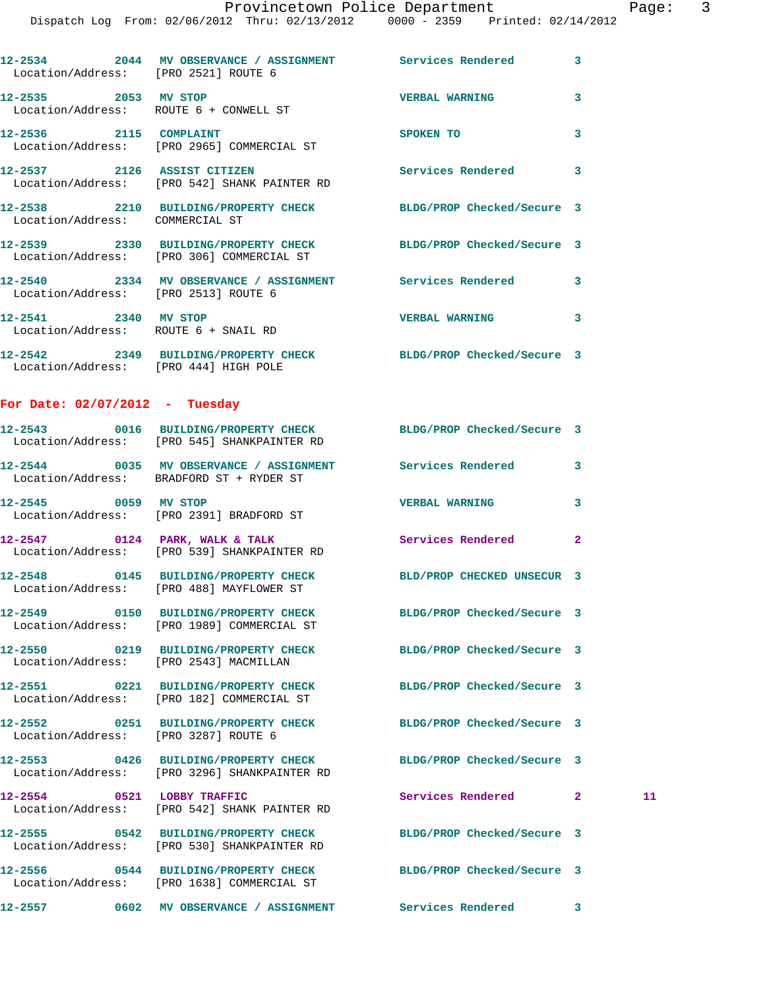|                                        | 12-2534 2044 MV OBSERVANCE / ASSIGNMENT Services Rendered<br>Location/Address: [PRO 2521] ROUTE 6              |                            | 3            |    |
|----------------------------------------|----------------------------------------------------------------------------------------------------------------|----------------------------|--------------|----|
| 12-2535 2053 MV STOP                   | Location/Address: ROUTE 6 + CONWELL ST                                                                         | <b>VERBAL WARNING</b>      | 3            |    |
|                                        | 12-2536 2115 COMPLAINT<br>Location/Address: [PRO 2965] COMMERCIAL ST                                           | SPOKEN TO                  | 3            |    |
|                                        | 12-2537 2126 ASSIST CITIZEN<br>Location/Address: [PRO 542] SHANK PAINTER RD                                    | Services Rendered 3        |              |    |
| Location/Address: COMMERCIAL ST        | 12-2538 2210 BUILDING/PROPERTY CHECK BLDG/PROP Checked/Secure 3                                                |                            |              |    |
|                                        | 12-2539 2330 BUILDING/PROPERTY CHECK BLDG/PROP Checked/Secure 3<br>Location/Address: [PRO 306] COMMERCIAL ST   |                            |              |    |
| Location/Address: [PRO 2513] ROUTE 6   | 12-2540 2334 MV OBSERVANCE / ASSIGNMENT Services Rendered                                                      |                            | 3            |    |
| 12-2541 2340 MV STOP                   | Location/Address: ROUTE 6 + SNAIL RD                                                                           | VERBAL WARNING 3           |              |    |
| Location/Address: [PRO 444] HIGH POLE  | 12-2542 2349 BUILDING/PROPERTY CHECK BLDG/PROP Checked/Secure 3                                                |                            |              |    |
| For Date: $02/07/2012$ - Tuesday       |                                                                                                                |                            |              |    |
|                                        | 12-2543 0016 BUILDING/PROPERTY CHECK BLDG/PROP Checked/Secure 3<br>Location/Address: [PRO 545] SHANKPAINTER RD |                            |              |    |
|                                        | 12-2544 0035 MV OBSERVANCE / ASSIGNMENT Services Rendered<br>Location/Address: BRADFORD ST + RYDER ST          |                            | 3            |    |
|                                        | 12-2545 0059 MV STOP<br>Location/Address: [PRO 2391] BRADFORD ST                                               | <b>VERBAL WARNING</b>      | 3            |    |
|                                        | $12-2547$ 0124 PARK, WALK & TALK<br>Location/Address: [PRO 539] SHANKPAINTER RD                                | Services Rendered          | $\mathbf{2}$ |    |
|                                        | 12-2548 0145 BUILDING/PROPERTY CHECK<br>Location/Address: [PRO 488] MAYFLOWER ST                               | BLD/PROP CHECKED UNSECUR 3 |              |    |
|                                        | 12-2549 0150 BUILDING/PROPERTY CHECK<br>Location/Address: [PRO 1989] COMMERCIAL ST                             | BLDG/PROP Checked/Secure 3 |              |    |
| Location/Address: [PRO 2543] MACMILLAN | 12-2550 0219 BUILDING/PROPERTY CHECK                                                                           | BLDG/PROP Checked/Secure 3 |              |    |
|                                        | 12-2551 0221 BUILDING/PROPERTY CHECK<br>Location/Address: [PRO 182] COMMERCIAL ST                              | BLDG/PROP Checked/Secure 3 |              |    |
| Location/Address: [PRO 3287] ROUTE 6   | 12-2552 0251 BUILDING/PROPERTY CHECK                                                                           | BLDG/PROP Checked/Secure 3 |              |    |
|                                        | 12-2553 0426 BUILDING/PROPERTY CHECK<br>Location/Address: [PRO 3296] SHANKPAINTER RD                           | BLDG/PROP Checked/Secure 3 |              |    |
|                                        | 12-2554 0521 LOBBY TRAFFIC<br>Location/Address: [PRO 542] SHANK PAINTER RD                                     | Services Rendered          | $\mathbf{2}$ | 11 |
|                                        | 12-2555 0542 BUILDING/PROPERTY CHECK<br>Location/Address: [PRO 530] SHANKPAINTER RD                            | BLDG/PROP Checked/Secure 3 |              |    |
|                                        | 12-2556 0544 BUILDING/PROPERTY CHECK<br>Location/Address: [PRO 1638] COMMERCIAL ST                             | BLDG/PROP Checked/Secure 3 |              |    |
|                                        |                                                                                                                | <b>Services Rendered</b>   | 3            |    |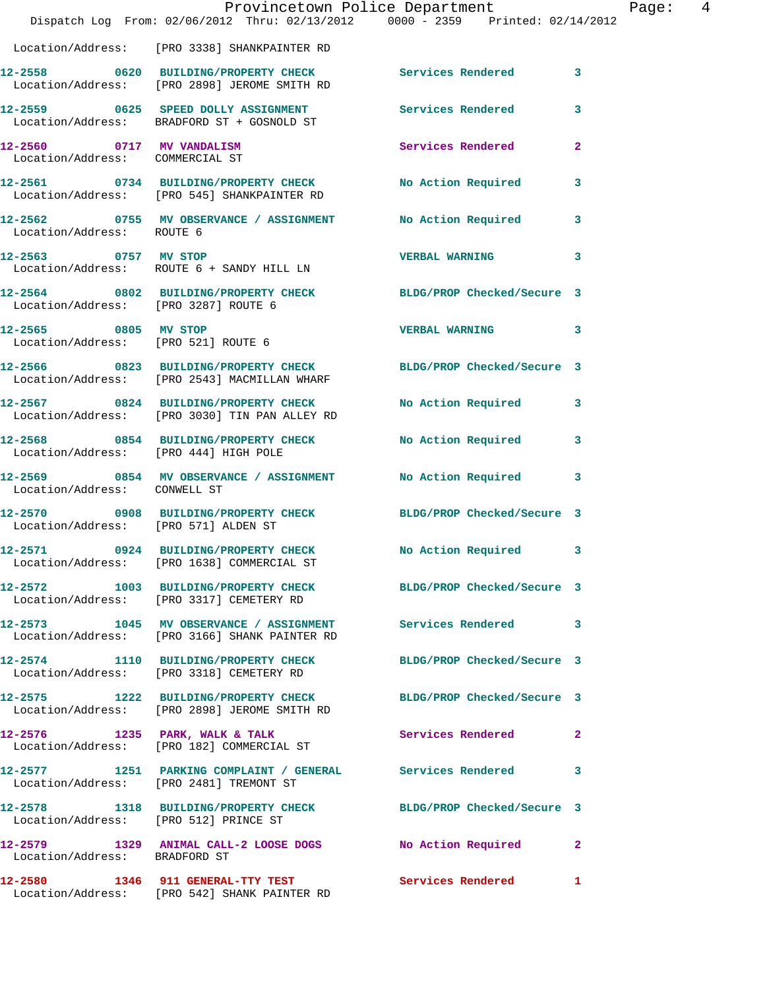|                                                              |                                                                                                       | Provincetown Police Department<br>Dispatch Log From: 02/06/2012 Thru: 02/13/2012 0000 - 2359 Printed: 02/14/2012        | $\mathbf{I}$   |
|--------------------------------------------------------------|-------------------------------------------------------------------------------------------------------|-------------------------------------------------------------------------------------------------------------------------|----------------|
|                                                              | Location/Address: [PRO 3338] SHANKPAINTER RD                                                          |                                                                                                                         |                |
|                                                              | 12-2558 0620 BUILDING/PROPERTY CHECK<br>Location/Address: [PRO 2898] JEROME SMITH RD                  | Services Rendered                                                                                                       | 3              |
|                                                              | 12-2559 0625 SPEED DOLLY ASSIGNMENT<br>Location/Address: BRADFORD ST + GOSNOLD ST                     | Services Rendered                                                                                                       | 3              |
| 12-2560 0717 MV VANDALISM<br>Location/Address: COMMERCIAL ST |                                                                                                       | <b>Services Rendered</b>                                                                                                | $\overline{a}$ |
|                                                              | Location/Address: [PRO 545] SHANKPAINTER RD                                                           | 12-2561 0734 BUILDING/PROPERTY CHECK No Action Required                                                                 | 3              |
| Location/Address: ROUTE 6                                    |                                                                                                       | 12-2562 0755 MV OBSERVANCE / ASSIGNMENT No Action Required                                                              | 3              |
| 12-2563 0757 MV STOP                                         | Location/Address: ROUTE 6 + SANDY HILL LN                                                             | <b>VERBAL WARNING</b>                                                                                                   | 3              |
|                                                              |                                                                                                       | 12-2564 0802 BUILDING/PROPERTY CHECK BLDG/PROP Checked/Secure 3<br>Location/Address: [PRO 3287] ROUTE 6                 |                |
| 12-2565 0805 MV STOP<br>Location/Address: [PRO 521] ROUTE 6  |                                                                                                       | <b>VERBAL WARNING</b>                                                                                                   | 3              |
|                                                              | Location/Address: [PRO 2543] MACMILLAN WHARF                                                          | 12-2566 0823 BUILDING/PROPERTY CHECK BLDG/PROP Checked/Secure 3                                                         |                |
|                                                              | 12-2567 0824 BUILDING/PROPERTY CHECK<br>Location/Address: [PRO 3030] TIN PAN ALLEY RD                 | <b>No Action Required</b>                                                                                               | 3              |
| Location/Address: [PRO 444] HIGH POLE                        |                                                                                                       | 12-2568 0854 BUILDING/PROPERTY CHECK No Action Required                                                                 | 3              |
| Location/Address: CONWELL ST                                 |                                                                                                       | 12-2569 0854 MV OBSERVANCE / ASSIGNMENT No Action Required                                                              | 3              |
| Location/Address: [PRO 571] ALDEN ST                         |                                                                                                       | 12-2570 0908 BUILDING/PROPERTY CHECK BLDG/PROP Checked/Secure 3                                                         |                |
|                                                              | Location/Address: [PRO 1638] COMMERCIAL ST                                                            | 12-2571 0924 BUILDING/PROPERTY CHECK No Action Required 3                                                               |                |
|                                                              | Location/Address: [PRO 3317] CEMETERY RD                                                              | 12-2572 1003 BUILDING/PROPERTY CHECK BLDG/PROP Checked/Secure 3                                                         |                |
|                                                              |                                                                                                       | 12-2573 1045 MV OBSERVANCE / ASSIGNMENT Services Rendered<br>Location/Address: [PRO 3166] SHANK PAINTER RD              | 3              |
|                                                              |                                                                                                       | 12-2574 1110 BUILDING/PROPERTY CHECK BLDG/PROP Checked/Secure 3<br>Location/Address: [PRO 3318] CEMETERY RD             |                |
|                                                              |                                                                                                       | 12-2575   1222   BUILDING/PROPERTY CHECK   BLDG/PROP Checked/Secure   3<br>Location/Address: [PRO 2898] JEROME SMITH RD |                |
|                                                              | 12-2576 1235 PARK, WALK & TALK<br>Location/Address: [PRO 182] COMMERCIAL ST                           | <b>Services Rendered</b>                                                                                                | 2              |
|                                                              | 12-2577 1251 PARKING COMPLAINT / GENERAL Services Rendered<br>Location/Address: [PRO 2481] TREMONT ST |                                                                                                                         | 3              |
| Location/Address: [PRO 512] PRINCE ST                        |                                                                                                       | 12-2578 1318 BUILDING/PROPERTY CHECK BLDG/PROP Checked/Secure 3                                                         |                |
| Location/Address: BRADFORD ST                                |                                                                                                       | 12-2579 1329 ANIMAL CALL-2 LOOSE DOGS No Action Required                                                                | $\mathbf{2}$   |
|                                                              | 12-2580 1346 911 GENERAL-TTY TEST<br>Location/Address: [PRO 542] SHANK PAINTER RD                     | <b>Services Rendered</b>                                                                                                | 1              |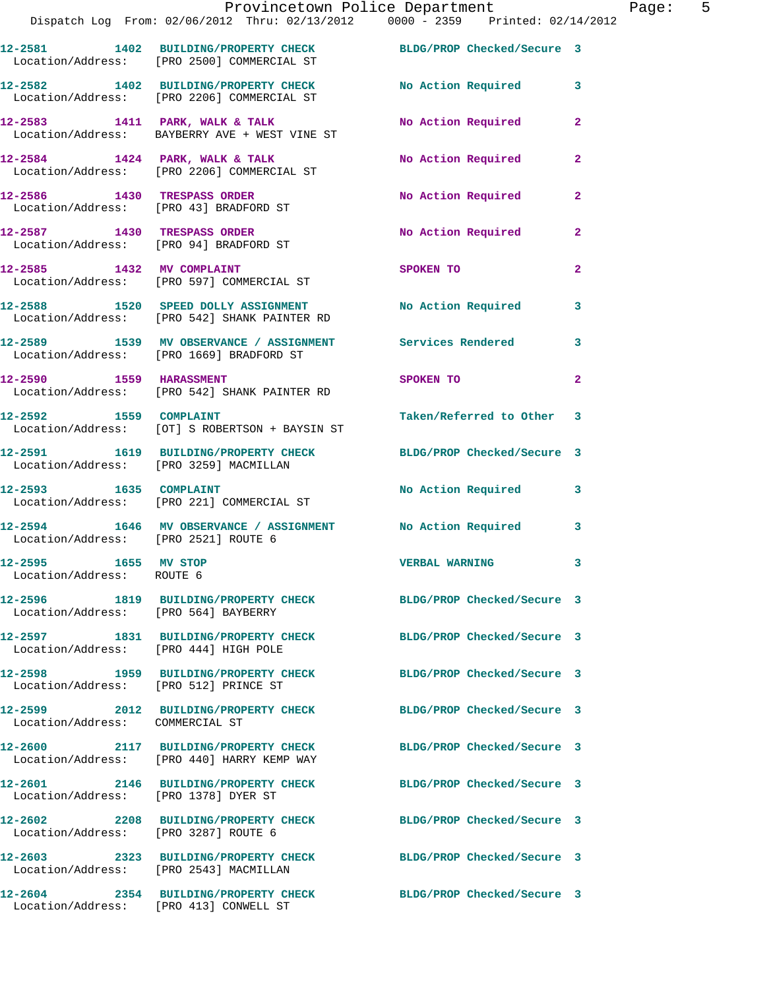|                                                   | Provincetown Police Department<br>Dispatch Log From: 02/06/2012 Thru: 02/13/2012 0000 - 2359 Printed: 02/14/2012 |                            |              |
|---------------------------------------------------|------------------------------------------------------------------------------------------------------------------|----------------------------|--------------|
|                                                   | 12-2581 1402 BUILDING/PROPERTY CHECK BLDG/PROP Checked/Secure 3<br>Location/Address: [PRO 2500] COMMERCIAL ST    |                            |              |
|                                                   | 12-2582 1402 BUILDING/PROPERTY CHECK<br>Location/Address: [PRO 2206] COMMERCIAL ST                               | No Action Required         | 3            |
|                                                   | 12-2583 1411 PARK, WALK & TALK<br>Location/Address: BAYBERRY AVE + WEST VINE ST                                  | No Action Required         | $\mathbf{2}$ |
|                                                   | 12-2584 1424 PARK, WALK & TALK<br>Location/Address: [PRO 2206] COMMERCIAL ST                                     | No Action Required         | 2            |
|                                                   | 12-2586 1430 TRESPASS ORDER<br>Location/Address: [PRO 43] BRADFORD ST                                            | No Action Required         | 2            |
|                                                   | 12-2587 1430 TRESPASS ORDER<br>Location/Address: [PRO 94] BRADFORD ST                                            | No Action Required         | $\mathbf{2}$ |
|                                                   | 12-2585 1432 MV COMPLAINT<br>Location/Address: [PRO 597] COMMERCIAL ST                                           | SPOKEN TO                  | $\mathbf{2}$ |
|                                                   | 12-2588 1520 SPEED DOLLY ASSIGNMENT<br>Location/Address: [PRO 542] SHANK PAINTER RD                              | No Action Required         | 3            |
|                                                   | 12-2589 1539 MV OBSERVANCE / ASSIGNMENT Services Rendered<br>Location/Address: [PRO 1669] BRADFORD ST            |                            | 3            |
|                                                   | 12-2590 1559 HARASSMENT<br>Location/Address: [PRO 542] SHANK PAINTER RD                                          | SPOKEN TO                  | 2            |
| 12-2592 1559 COMPLAINT                            | Location/Address: [OT] S ROBERTSON + BAYSIN ST                                                                   | Taken/Referred to Other    | 3            |
| Location/Address: [PRO 3259] MACMILLAN            | 12-2591 1619 BUILDING/PROPERTY CHECK BLDG/PROP Checked/Secure 3                                                  |                            |              |
| 12-2593 1635 COMPLAINT                            | Location/Address: [PRO 221] COMMERCIAL ST                                                                        | <b>No Action Required</b>  | 3            |
| Location/Address: [PRO 2521] ROUTE 6              | 12-2594 1646 MV OBSERVANCE / ASSIGNMENT No Action Required                                                       |                            | 3            |
| 12-2595 1655 MV STOP<br>Location/Address: ROUTE 6 |                                                                                                                  | <b>VERBAL WARNING</b>      | 3            |
| Location/Address: [PRO 564] BAYBERRY              | 12-2596 1819 BUILDING/PROPERTY CHECK BLDG/PROP Checked/Secure 3                                                  |                            |              |
| Location/Address: [PRO 444] HIGH POLE             | 12-2597 1831 BUILDING/PROPERTY CHECK                                                                             | BLDG/PROP Checked/Secure 3 |              |
| Location/Address: [PRO 512] PRINCE ST             | 12-2598 1959 BUILDING/PROPERTY CHECK                                                                             | BLDG/PROP Checked/Secure 3 |              |
| Location/Address: COMMERCIAL ST                   | 12-2599 2012 BUILDING/PROPERTY CHECK                                                                             | BLDG/PROP Checked/Secure 3 |              |
|                                                   | 12-2600 2117 BUILDING/PROPERTY CHECK<br>Location/Address: [PRO 440] HARRY KEMP WAY                               | BLDG/PROP Checked/Secure 3 |              |
| Location/Address: [PRO 1378] DYER ST              | 12-2601 2146 BUILDING/PROPERTY CHECK                                                                             | BLDG/PROP Checked/Secure 3 |              |
| Location/Address: [PRO 3287] ROUTE 6              | 12-2602 2208 BUILDING/PROPERTY CHECK                                                                             | BLDG/PROP Checked/Secure 3 |              |
| Location/Address: [PRO 2543] MACMILLAN            | 12-2603 2323 BUILDING/PROPERTY CHECK                                                                             | BLDG/PROP Checked/Secure 3 |              |
|                                                   | 12-2604 2354 BUILDING/PROPERTY CHECK                                                                             | BLDG/PROP Checked/Secure 3 |              |

Location/Address: [PRO 413] CONWELL ST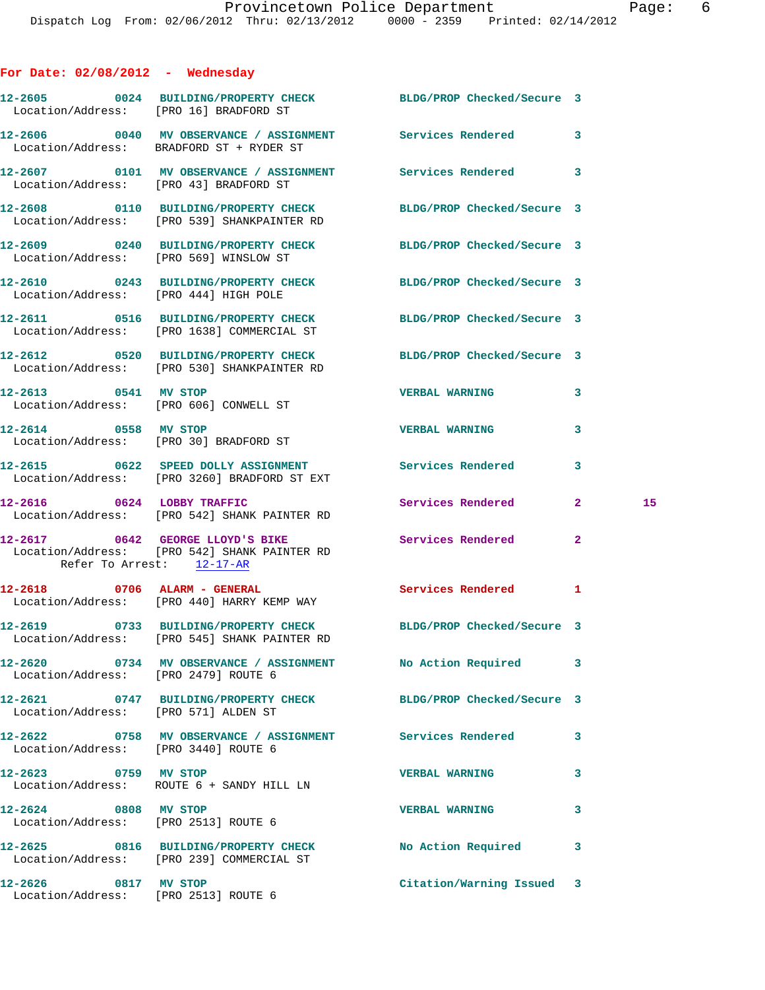## **For Date: 02/08/2012 - Wednesday**

|                                       | 12-2605 0024 BUILDING/PROPERTY CHECK BLDG/PROP Checked/Secure 3<br>Location/Address: [PRO 16] BRADFORD ST       |                           |              |    |
|---------------------------------------|-----------------------------------------------------------------------------------------------------------------|---------------------------|--------------|----|
|                                       | 12-2606 0040 MV OBSERVANCE / ASSIGNMENT Services Rendered 3<br>Location/Address: BRADFORD ST + RYDER ST         |                           |              |    |
|                                       | 12-2607 0101 MV OBSERVANCE / ASSIGNMENT Services Rendered 3<br>Location/Address: [PRO 43] BRADFORD ST           |                           |              |    |
|                                       | 12-2608 0110 BUILDING/PROPERTY CHECK BLDG/PROP Checked/Secure 3<br>Location/Address: [PRO 539] SHANKPAINTER RD  |                           |              |    |
|                                       | 12-2609 0240 BUILDING/PROPERTY CHECK BLDG/PROP Checked/Secure 3<br>Location/Address: [PRO 569] WINSLOW ST       |                           |              |    |
| Location/Address: [PRO 444] HIGH POLE | 12-2610 0243 BUILDING/PROPERTY CHECK BLDG/PROP Checked/Secure 3                                                 |                           |              |    |
|                                       | 12-2611 0516 BUILDING/PROPERTY CHECK BLDG/PROP Checked/Secure 3<br>Location/Address: [PRO 1638] COMMERCIAL ST   |                           |              |    |
|                                       | 12-2612 0520 BUILDING/PROPERTY CHECK BLDG/PROP Checked/Secure 3<br>Location/Address: [PRO 530] SHANKPAINTER RD  |                           |              |    |
| 12-2613 0541 MV STOP                  | Location/Address: [PRO 606] CONWELL ST                                                                          | <b>VERBAL WARNING</b>     | 3            |    |
| 12-2614 0558 MV STOP                  | Location/Address: [PRO 30] BRADFORD ST                                                                          | <b>VERBAL WARNING</b>     | 3            |    |
|                                       | 12-2615 0622 SPEED DOLLY ASSIGNMENT Services Rendered<br>Location/Address: [PRO 3260] BRADFORD ST EXT           |                           | 3            |    |
| 12-2616 0624 LOBBY TRAFFIC            | Location/Address: [PRO 542] SHANK PAINTER RD                                                                    | Services Rendered         | $\mathbf{2}$ | 15 |
| Refer To Arrest: 12-17-AR             | 12-2617 0642 GEORGE LLOYD'S BIKE<br>Location/Address: [PRO 542] SHANK PAINTER RD                                | Services Rendered         | $\mathbf{2}$ |    |
|                                       | 12-2618 0706 ALARM - GENERAL<br>Location/Address: [PRO 440] HARRY KEMP WAY                                      | Services Rendered         | 1            |    |
|                                       | 12-2619 0733 BUILDING/PROPERTY CHECK BLDG/PROP Checked/Secure 3<br>Location/Address: [PRO 545] SHANK PAINTER RD |                           |              |    |
| Location/Address: [PRO 2479] ROUTE 6  | 12-2620 0734 MV OBSERVANCE / ASSIGNMENT No Action Required                                                      |                           | 3            |    |
| Location/Address: [PRO 571] ALDEN ST  | 12-2621 0747 BUILDING/PROPERTY CHECK BLDG/PROP Checked/Secure 3                                                 |                           |              |    |
| Location/Address: [PRO 3440] ROUTE 6  | 12-2622 0758 MV OBSERVANCE / ASSIGNMENT Services Rendered                                                       |                           | 3            |    |
| 12-2623 0759 MV STOP                  | Location/Address: ROUTE 6 + SANDY HILL LN                                                                       | <b>VERBAL WARNING</b>     | 3            |    |
| 12-2624 0808 MV STOP                  | Location/Address: [PRO 2513] ROUTE 6                                                                            | <b>VERBAL WARNING</b>     | 3            |    |
|                                       | 12-2625 0816 BUILDING/PROPERTY CHECK<br>Location/Address: [PRO 239] COMMERCIAL ST                               | No Action Required        | 3            |    |
| 12-2626 0817 MV STOP                  | Location/Address: [PRO 2513] ROUTE 6                                                                            | Citation/Warning Issued 3 |              |    |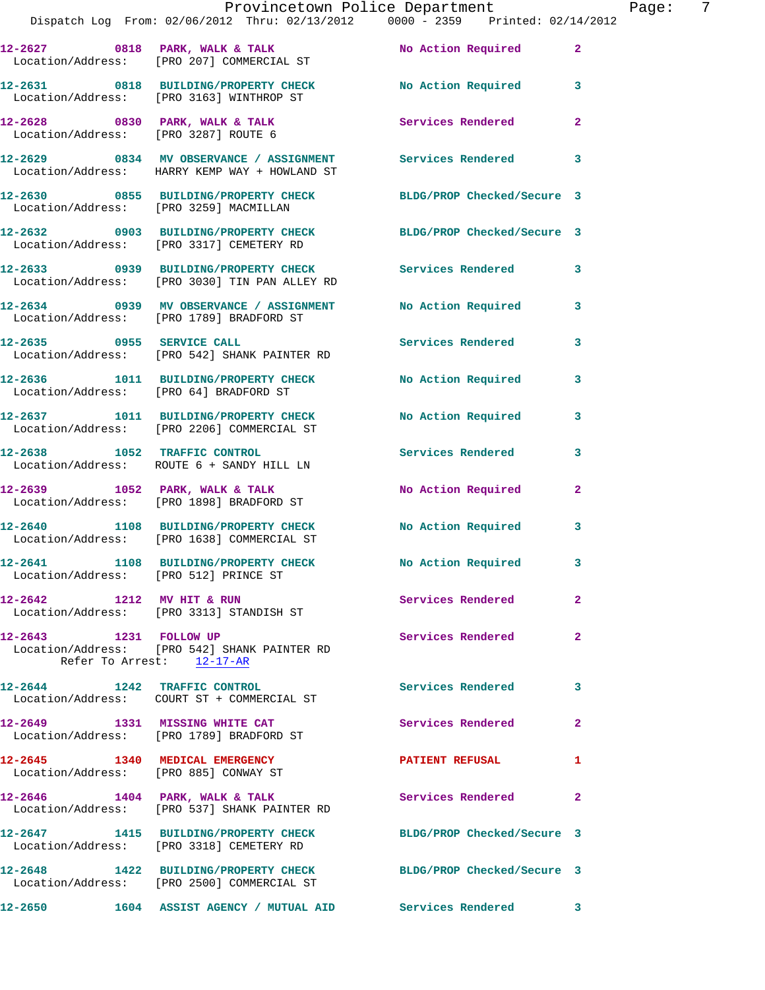|                                        | Provincetown Police Department                                                                                |                            |                         |
|----------------------------------------|---------------------------------------------------------------------------------------------------------------|----------------------------|-------------------------|
|                                        | Dispatch Log From: 02/06/2012 Thru: 02/13/2012 0000 - 2359 Printed: 02/14/2012                                |                            |                         |
|                                        | 12-2627 0818 PARK, WALK & TALK NO Action Required<br>Location/Address: [PRO 207] COMMERCIAL ST                |                            | $\mathbf{2}$            |
|                                        | 12-2631 0818 BUILDING/PROPERTY CHECK No Action Required<br>Location/Address: [PRO 3163] WINTHROP ST           |                            | 3                       |
| Location/Address: [PRO 3287] ROUTE 6   | $12-2628$ 0830 PARK, WALK & TALK                                                                              | Services Rendered          | $\mathbf{2}$            |
|                                        | 12-2629 0834 MV OBSERVANCE / ASSIGNMENT Services Rendered<br>Location/Address: HARRY KEMP WAY + HOWLAND ST    |                            | 3                       |
|                                        | 12-2630       0855   BUILDING/PROPERTY CHECK<br>Location/Address:   [PRO 3259]MACMILLAN                       | BLDG/PROP Checked/Secure 3 |                         |
|                                        | 12-2632 0903 BUILDING/PROPERTY CHECK BLDG/PROP Checked/Secure 3<br>Location/Address: [PRO 3317] CEMETERY RD   |                            |                         |
|                                        | 12-2633 0939 BUILDING/PROPERTY CHECK Services Rendered<br>Location/Address: [PRO 3030] TIN PAN ALLEY RD       |                            | 3                       |
|                                        | 12-2634 0939 MV OBSERVANCE / ASSIGNMENT No Action Required<br>Location/Address: [PRO 1789] BRADFORD ST        |                            | 3                       |
| 12-2635 0955 SERVICE CALL              | Location/Address: [PRO 542] SHANK PAINTER RD                                                                  | <b>Services Rendered</b>   | 3                       |
| Location/Address: [PRO 64] BRADFORD ST | 12-2636 1011 BUILDING/PROPERTY CHECK No Action Required                                                       |                            | 3                       |
|                                        | 12-2637 1011 BUILDING/PROPERTY CHECK No Action Required<br>Location/Address: [PRO 2206] COMMERCIAL ST         |                            | 3                       |
|                                        | 12-2638 1052 TRAFFIC CONTROL<br>Location/Address: ROUTE 6 + SANDY HILL LN                                     | Services Rendered          | 3                       |
|                                        | $12-2639$ $1052$ PARK, WALK & TALK<br>Location/Address: [PRO 1898] BRADFORD ST                                | No Action Required         | $\mathbf{2}$            |
|                                        | 12-2640 1108 BUILDING/PROPERTY CHECK<br>Location/Address: [PRO 1638] COMMERCIAL ST                            | No Action Required         | 3                       |
| Location/Address: [PRO 512] PRINCE ST  | 12-2641 1108 BUILDING/PROPERTY CHECK                                                                          | No Action Required         | $\overline{\mathbf{3}}$ |
|                                        | 12-2642 1212 MV HIT & RUN<br>Location/Address: [PRO 3313] STANDISH ST                                         | Services Rendered          | $\overline{2}$          |
| 12-2643 1231 FOLLOW UP                 | Location/Address: [PRO 542] SHANK PAINTER RD<br>Refer To Arrest: 12-17-AR                                     | Services Rendered          | $\overline{2}$          |
|                                        | 12-2644 1242 TRAFFIC CONTROL                                                                                  | <b>Services Rendered</b>   | 3                       |
|                                        | 12-2649 1331 MISSING WHITE CAT<br>Location/Address: [PRO 1789] BRADFORD ST                                    | Services Rendered          | $\mathbf{2}$            |
| Location/Address: [PRO 885] CONWAY ST  | 12-2645 1340 MEDICAL EMERGENCY                                                                                | <b>PATIENT REFUSAL</b>     | 1                       |
|                                        | $12-2646$ 1404 PARK, WALK & TALK<br>Location/Address: [PRO 537] SHANK PAINTER RD                              | Services Rendered          | $\mathbf{2}$            |
|                                        | 12-2647 1415 BUILDING/PROPERTY CHECK<br>Location/Address: [PRO 3318] CEMETERY RD                              | BLDG/PROP Checked/Secure 3 |                         |
|                                        | 12-2648 1422 BUILDING/PROPERTY CHECK BLDG/PROP Checked/Secure 3<br>Location/Address: [PRO 2500] COMMERCIAL ST |                            |                         |
|                                        | 12-2650 1604 ASSIST AGENCY / MUTUAL AID Services Rendered 3                                                   |                            |                         |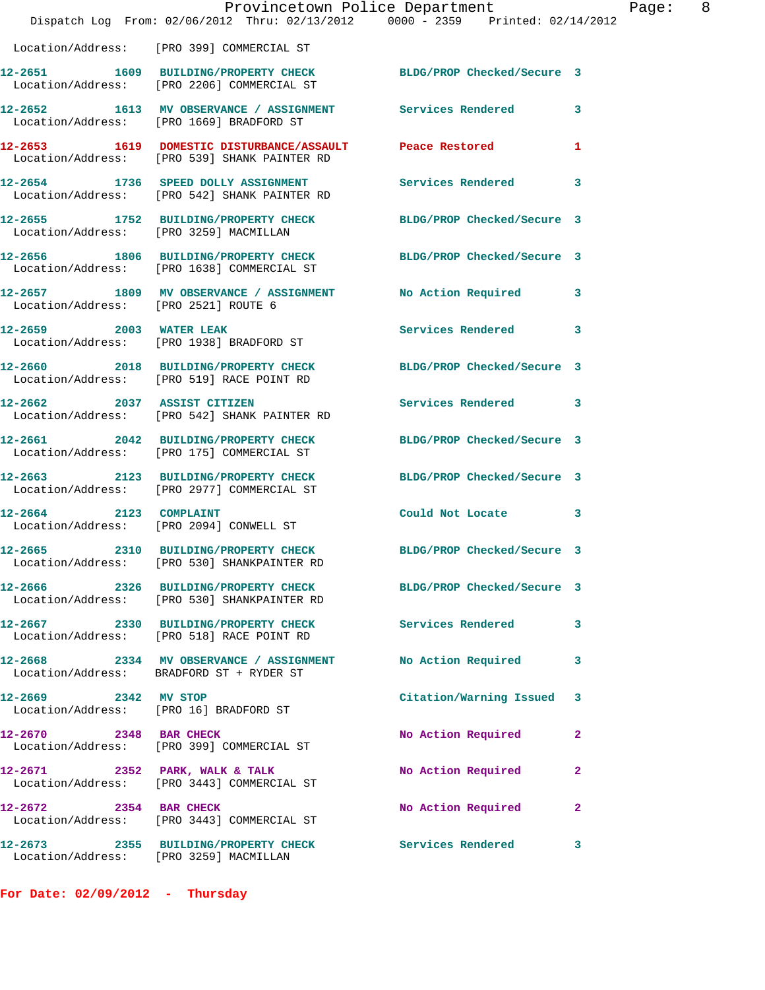|                                        | Provincetown Police Department<br>Dispatch Log From: 02/06/2012 Thru: 02/13/2012 0000 - 2359 Printed: 02/14/2012 |                            |                |
|----------------------------------------|------------------------------------------------------------------------------------------------------------------|----------------------------|----------------|
|                                        | Location/Address: [PRO 399] COMMERCIAL ST                                                                        |                            |                |
|                                        | 12-2651 1609 BUILDING/PROPERTY CHECK BLDG/PROP Checked/Secure 3<br>Location/Address: [PRO 2206] COMMERCIAL ST    |                            |                |
|                                        | 12-2652 1613 MV OBSERVANCE / ASSIGNMENT Services Rendered 3<br>Location/Address: [PRO 1669] BRADFORD ST          |                            |                |
|                                        | 12-2653 1619 DOMESTIC DISTURBANCE/ASSAULT Peace Restored<br>Location/Address: [PRO 539] SHANK PAINTER RD         |                            | 1              |
|                                        | 12-2654 1736 SPEED DOLLY ASSIGNMENT Services Rendered 3<br>Location/Address: [PRO 542] SHANK PAINTER RD          |                            |                |
| Location/Address: [PRO 3259] MACMILLAN | 12-2655 1752 BUILDING/PROPERTY CHECK                                                                             | BLDG/PROP Checked/Secure 3 |                |
|                                        | 12-2656 1806 BUILDING/PROPERTY CHECK BLDG/PROP Checked/Secure 3<br>Location/Address: [PRO 1638] COMMERCIAL ST    |                            |                |
|                                        | 12-2657 1809 MV OBSERVANCE / ASSIGNMENT No Action Required<br>Location/Address: [PRO 2521] ROUTE 6               |                            | 3              |
| 12-2659 2003 WATER LEAK                | Location/Address: [PRO 1938] BRADFORD ST                                                                         | Services Rendered          | 3              |
|                                        | 12-2660 2018 BUILDING/PROPERTY CHECK<br>Location/Address: [PRO 519] RACE POINT RD                                | BLDG/PROP Checked/Secure 3 |                |
|                                        | 12-2662 2037 ASSIST CITIZEN<br>Location/Address: [PRO 542] SHANK PAINTER RD                                      | Services Rendered          | 3              |
|                                        | 12-2661 2042 BUILDING/PROPERTY CHECK<br>Location/Address: [PRO 175] COMMERCIAL ST                                | BLDG/PROP Checked/Secure 3 |                |
|                                        | 12-2663 2123 BUILDING/PROPERTY CHECK<br>Location/Address: [PRO 2977] COMMERCIAL ST                               | BLDG/PROP Checked/Secure 3 |                |
| 12-2664 2123 COMPLAINT                 | Location/Address: [PRO 2094] CONWELL ST                                                                          | Could Not Locate 3         |                |
|                                        | 12-2665 2310 BUILDING/PROPERTY CHECK<br>Location/Address: [PRO 530] SHANKPAINTER RD                              | BLDG/PROP Checked/Secure 3 |                |
|                                        | 12-2666 2326 BUILDING/PROPERTY CHECK<br>Location/Address: [PRO 530] SHANKPAINTER RD                              | BLDG/PROP Checked/Secure 3 |                |
|                                        | 12-2667 2330 BUILDING/PROPERTY CHECK Services Rendered<br>Location/Address: [PRO 518] RACE POINT RD              |                            | 3              |
|                                        | 12-2668 2334 MV OBSERVANCE / ASSIGNMENT No Action Required<br>Location/Address: BRADFORD ST + RYDER ST           |                            | 3              |
| 12-2669 2342 MV STOP                   | Location/Address: [PRO 16] BRADFORD ST                                                                           | Citation/Warning Issued 3  |                |
| 12-2670 2348 BAR CHECK                 | Location/Address: [PRO 399] COMMERCIAL ST                                                                        | No Action Required         | $\overline{2}$ |
|                                        | 12-2671 2352 PARK, WALK & TALK<br>Location/Address: [PRO 3443] COMMERCIAL ST                                     | No Action Required         | 2              |
| 12-2672 2354 BAR CHECK                 | Location/Address: [PRO 3443] COMMERCIAL ST                                                                       | No Action Required         | $\overline{2}$ |
| Location/Address: [PRO 3259] MACMILLAN | 12-2673 2355 BUILDING/PROPERTY CHECK                                                                             | Services Rendered          | 3              |

**For Date: 02/09/2012 - Thursday**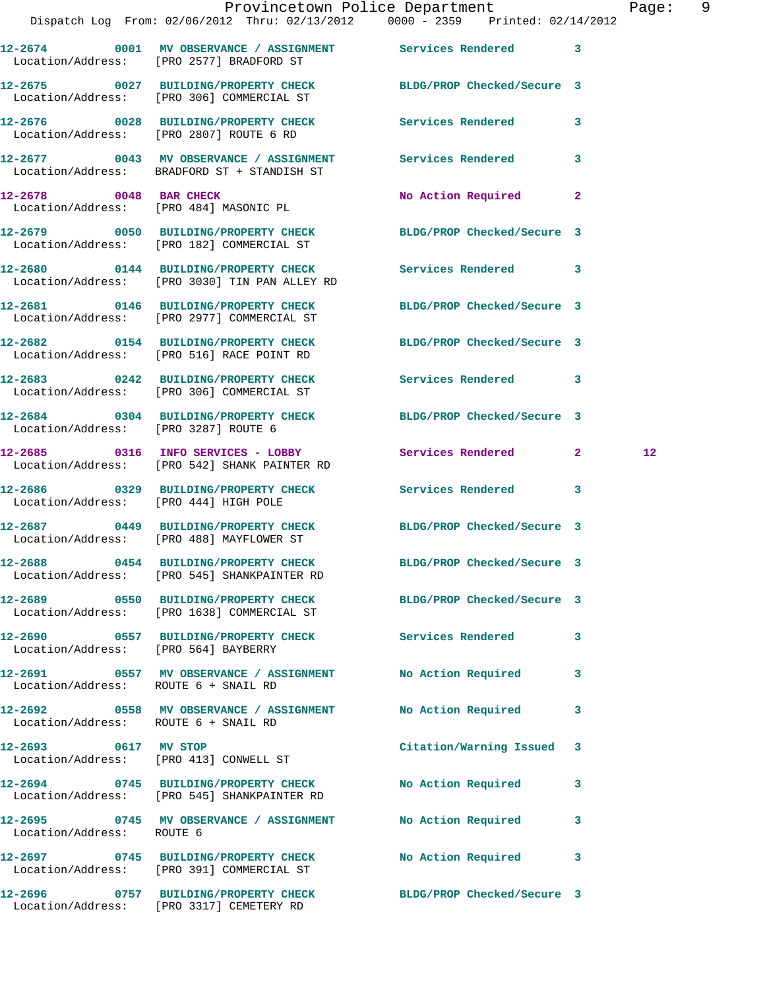|                                       | Dispatch Log From: 02/06/2012 Thru: 02/13/2012 0000 - 2359 Printed: 02/14/2012                                | Provincetown Police Department |              | Page: 9           |  |
|---------------------------------------|---------------------------------------------------------------------------------------------------------------|--------------------------------|--------------|-------------------|--|
|                                       | 12-2674 0001 MV OBSERVANCE / ASSIGNMENT Services Rendered 3<br>Location/Address: [PRO 2577] BRADFORD ST       |                                |              |                   |  |
|                                       | 12-2675 0027 BUILDING/PROPERTY CHECK BLDG/PROP Checked/Secure 3<br>Location/Address: [PRO 306] COMMERCIAL ST  |                                |              |                   |  |
|                                       | 12-2676 0028 BUILDING/PROPERTY CHECK Services Rendered 3<br>Location/Address: [PRO 2807] ROUTE 6 RD           |                                |              |                   |  |
|                                       | 12-2677 0043 MV OBSERVANCE / ASSIGNMENT Services Rendered 3<br>Location/Address: BRADFORD ST + STANDISH ST    |                                |              |                   |  |
|                                       | 12-2678 0048 BAR CHECK<br>Location/Address: [PRO 484] MASONIC PL                                              | No Action Required 2           |              |                   |  |
|                                       | 12-2679 0050 BUILDING/PROPERTY CHECK BLDG/PROP Checked/Secure 3<br>Location/Address: [PRO 182] COMMERCIAL ST  |                                |              |                   |  |
|                                       | 12-2680 0144 BUILDING/PROPERTY CHECK Services Rendered 3<br>Location/Address: [PRO 3030] TIN PAN ALLEY RD     |                                |              |                   |  |
|                                       | 12-2681 0146 BUILDING/PROPERTY CHECK BLDG/PROP Checked/Secure 3<br>Location/Address: [PRO 2977] COMMERCIAL ST |                                |              |                   |  |
|                                       | 12-2682 0154 BUILDING/PROPERTY CHECK<br>Location/Address: [PRO 516] RACE POINT RD                             | BLDG/PROP Checked/Secure 3     |              |                   |  |
|                                       | 12-2683 0242 BUILDING/PROPERTY CHECK Services Rendered 3<br>Location/Address: [PRO 306] COMMERCIAL ST         |                                |              |                   |  |
| Location/Address: [PRO 3287] ROUTE 6  | 12-2684 0304 BUILDING/PROPERTY CHECK BLDG/PROP Checked/Secure 3                                               |                                |              |                   |  |
|                                       | 12-2685 0316 INFO SERVICES - LOBBY Services Rendered 2<br>Location/Address: [PRO 542] SHANK PAINTER RD        |                                |              | $12 \overline{ }$ |  |
| Location/Address: [PRO 444] HIGH POLE | 12-2686 0329 BUILDING/PROPERTY CHECK Services Rendered 3                                                      |                                |              |                   |  |
|                                       | 12-2687 0449 BUILDING/PROPERTY CHECK BLDG/PROP Checked/Secure 3<br>Location/Address: [PRO 488] MAYFLOWER ST   |                                |              |                   |  |
|                                       | 12-2688 0454 BUILDING/PROPERTY CHECK<br>Location/Address: [PRO 545] SHANKPAINTER RD                           | BLDG/PROP Checked/Secure 3     |              |                   |  |
|                                       | 12-2689 0550 BUILDING/PROPERTY CHECK BLDG/PROP Checked/Secure 3<br>Location/Address: [PRO 1638] COMMERCIAL ST |                                |              |                   |  |
| Location/Address: [PRO 564] BAYBERRY  | 12-2690 0557 BUILDING/PROPERTY CHECK Services Rendered                                                        |                                | 3            |                   |  |
| Location/Address: ROUTE 6 + SNAIL RD  | 12-2691 0557 MV OBSERVANCE / ASSIGNMENT No Action Required                                                    |                                | 3            |                   |  |
| Location/Address: ROUTE 6 + SNAIL RD  |                                                                                                               |                                | 3            |                   |  |
| 12-2693 0617 MV STOP                  | Location/Address: [PRO 413] CONWELL ST                                                                        | Citation/Warning Issued 3      |              |                   |  |
|                                       | 12-2694 0745 BUILDING/PROPERTY CHECK No Action Required<br>Location/Address: [PRO 545] SHANKPAINTER RD        |                                | 3            |                   |  |
| Location/Address: ROUTE 6             | 12-2695 0745 MV OBSERVANCE / ASSIGNMENT No Action Required                                                    |                                | $\mathbf{3}$ |                   |  |
|                                       | 12-2697 0745 BUILDING/PROPERTY CHECK No Action Required 3<br>Location/Address: [PRO 391] COMMERCIAL ST        |                                |              |                   |  |
|                                       | 12-2696 0757 BUILDING/PROPERTY CHECK BLDG/PROP Checked/Secure 3                                               |                                |              |                   |  |

Location/Address: [PRO 3317] CEMETERY RD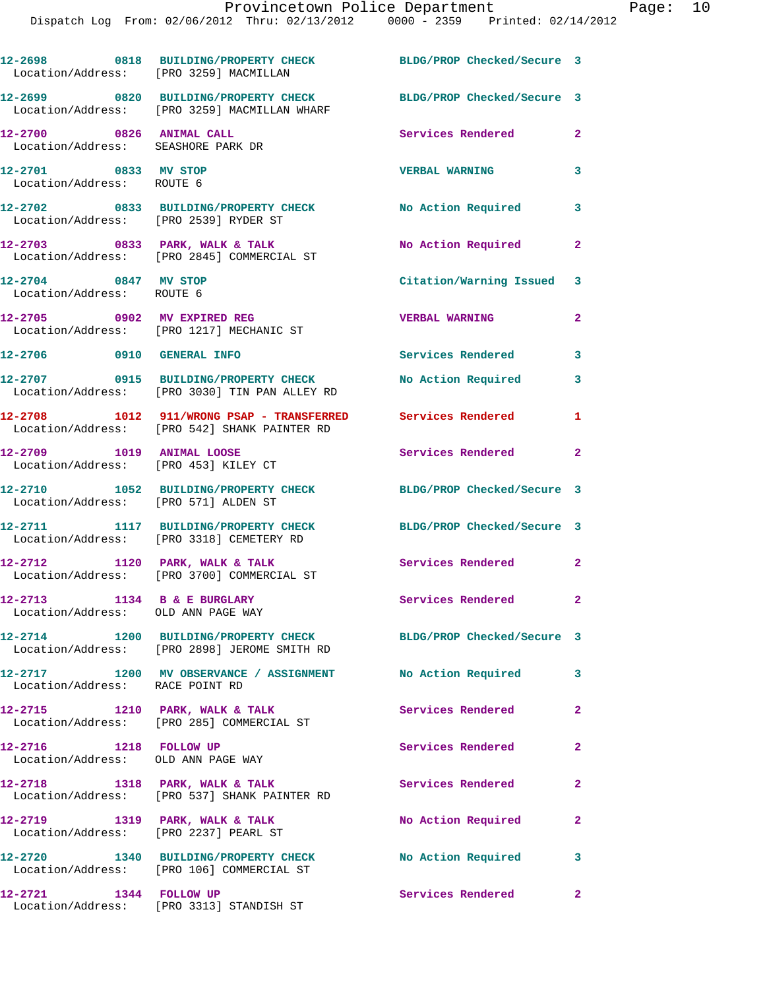| Location/Address: [PRO 3259] MACMILLAN                            | 12-2698 0818 BUILDING/PROPERTY CHECK                                                                            | BLDG/PROP Checked/Secure 3                      |                |
|-------------------------------------------------------------------|-----------------------------------------------------------------------------------------------------------------|-------------------------------------------------|----------------|
|                                                                   | 12-2699 0820 BUILDING/PROPERTY CHECK<br>Location/Address: [PRO 3259] MACMILLAN WHARF                            | BLDG/PROP Checked/Secure 3                      |                |
| 12-2700 0826 ANIMAL CALL<br>Location/Address: SEASHORE PARK DR    |                                                                                                                 | Services Rendered                               | $\mathbf{2}$   |
| 12-2701 0833 MV STOP<br>Location/Address: ROUTE 6                 |                                                                                                                 | <b>VERBAL WARNING</b>                           | 3              |
| Location/Address: [PRO 2539] RYDER ST                             | 12-2702 0833 BUILDING/PROPERTY CHECK                                                                            | No Action Required                              | 3              |
|                                                                   | $12-2703$ 0833 PARK, WALK & TALK<br>Location/Address: [PRO 2845] COMMERCIAL ST                                  | No Action Required                              | $\mathbf{2}$   |
| 12-2704 0847 MV STOP<br>Location/Address: ROUTE 6                 |                                                                                                                 | Citation/Warning Issued 3                       |                |
|                                                                   | 12-2705 0902 MV EXPIRED REG<br>Location/Address: [PRO 1217] MECHANIC ST                                         | <b>VERBAL WARNING</b>                           | $\mathbf{2}$   |
| 12-2706 0910 GENERAL INFO                                         |                                                                                                                 | Services Rendered                               | 3              |
|                                                                   | 12-2707 0915 BUILDING/PROPERTY CHECK<br>Location/Address: [PRO 3030] TIN PAN ALLEY RD                           | No Action Required                              | 3              |
|                                                                   | 12-2708 1012 911/WRONG PSAP - TRANSFERRED<br>Location/Address: [PRO 542] SHANK PAINTER RD                       | Services Rendered                               | $\mathbf{1}$   |
| 12-2709 1019 ANIMAL LOOSE<br>Location/Address: [PRO 453] KILEY CT |                                                                                                                 | Services Rendered<br>$\overline{\phantom{a}}$ 2 |                |
| Location/Address: [PRO 571] ALDEN ST                              | 12-2710 1052 BUILDING/PROPERTY CHECK                                                                            | BLDG/PROP Checked/Secure 3                      |                |
|                                                                   | 12-2711 1117 BUILDING/PROPERTY CHECK<br>Location/Address: [PRO 3318] CEMETERY RD                                | BLDG/PROP Checked/Secure 3                      |                |
| 12-2712                                                           | 1120 PARK, WALK & TALK<br>Location/Address: [PRO 3700] COMMERCIAL ST                                            | Services Rendered                               | $\mathbf{2}$   |
| 12-2713<br>Location/Address: OLD ANN PAGE WAY                     | 1134 B & E BURGLARY                                                                                             | Services Rendered                               | $\mathbf{2}$   |
|                                                                   | 12-2714 1200 BUILDING/PROPERTY CHECK BLDG/PROP Checked/Secure 3<br>Location/Address: [PRO 2898] JEROME SMITH RD |                                                 |                |
| Location/Address: RACE POINT RD                                   | 12-2717 1200 MV OBSERVANCE / ASSIGNMENT No Action Required                                                      |                                                 | 3              |
| 12-2715 1210 PARK, WALK & TALK                                    | Location/Address: [PRO 285] COMMERCIAL ST                                                                       | <b>Services Rendered</b>                        | $\overline{2}$ |
| 12-2716 1218 FOLLOW UP<br>Location/Address: OLD ANN PAGE WAY      |                                                                                                                 | <b>Services Rendered</b>                        | $\mathbf{2}$   |
|                                                                   | 12-2718 1318 PARK, WALK & TALK<br>Location/Address: [PRO 537] SHANK PAINTER RD                                  | Services Rendered                               | $\overline{2}$ |
| Location/Address: [PRO 2237] PEARL ST                             | 12-2719 1319 PARK, WALK & TALK                                                                                  | No Action Required                              | $\mathbf{2}$   |
|                                                                   | 12-2720 1340 BUILDING/PROPERTY CHECK<br>Location/Address: [PRO 106] COMMERCIAL ST                               | No Action Required                              | 3              |
| 12-2721 1344 FOLLOW UP                                            | Location/Address: [PRO 3313] STANDISH ST                                                                        | Services Rendered                               | $\mathbf{2}$   |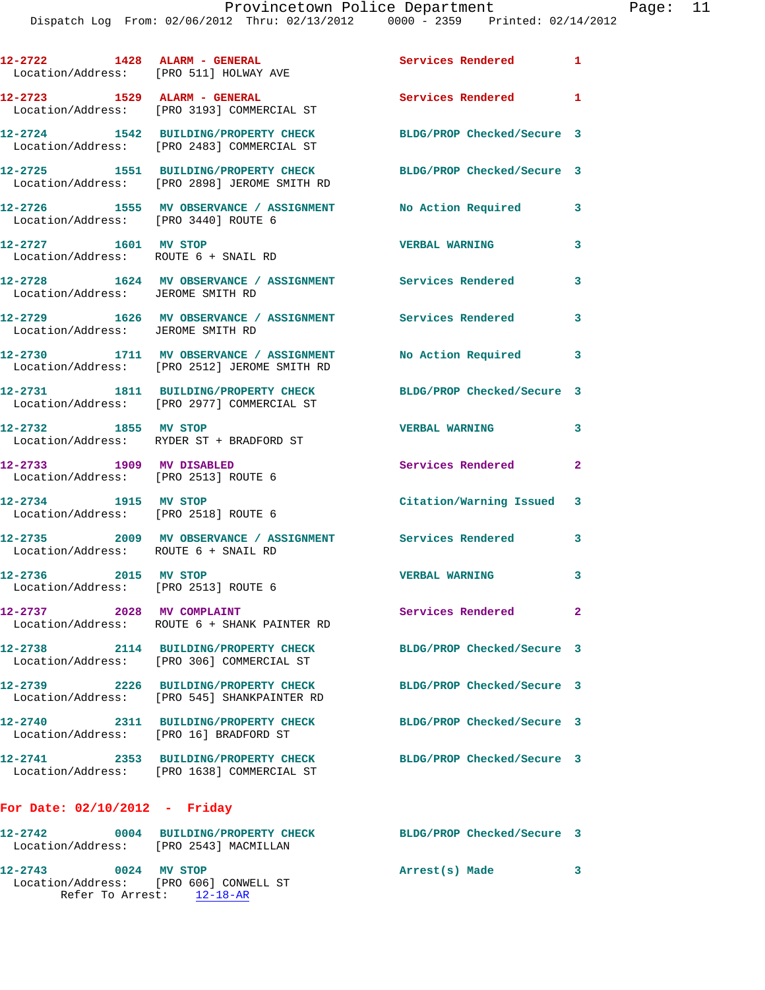|                                                                  | 12-2722 1428 ALARM - GENERAL<br>Location/Address: [PRO 511] HOLWAY AVE                  | Services Rendered 1        |              |
|------------------------------------------------------------------|-----------------------------------------------------------------------------------------|----------------------------|--------------|
|                                                                  | 12-2723 1529 ALARM - GENERAL<br>Location/Address: [PRO 3193] COMMERCIAL ST              | Services Rendered          | $\mathbf{1}$ |
|                                                                  | 12-2724 1542 BUILDING/PROPERTY CHECK<br>Location/Address: [PRO 2483] COMMERCIAL ST      | BLDG/PROP Checked/Secure 3 |              |
|                                                                  | 12-2725 1551 BUILDING/PROPERTY CHECK<br>Location/Address: [PRO 2898] JEROME SMITH RD    | BLDG/PROP Checked/Secure 3 |              |
| Location/Address: [PRO 3440] ROUTE 6                             | 12-2726 1555 MV OBSERVANCE / ASSIGNMENT                                                 | No Action Required         | 3            |
| 12-2727 1601 MV STOP<br>Location/Address: ROUTE 6 + SNAIL RD     |                                                                                         | <b>VERBAL WARNING</b>      | 3            |
| Location/Address: JEROME SMITH RD                                | 12-2728 1624 MV OBSERVANCE / ASSIGNMENT Services Rendered                               |                            | 3            |
| Location/Address: JEROME SMITH RD                                | 12-2729 1626 MV OBSERVANCE / ASSIGNMENT Services Rendered                               |                            | 3            |
|                                                                  | 12-2730 1711 MV OBSERVANCE / ASSIGNMENT<br>Location/Address: [PRO 2512] JEROME SMITH RD | No Action Required         | 3            |
|                                                                  | 12-2731 1811 BUILDING/PROPERTY CHECK<br>Location/Address: [PRO 2977] COMMERCIAL ST      | BLDG/PROP Checked/Secure 3 |              |
| 12-2732 1855 MV STOP                                             | Location/Address: RYDER ST + BRADFORD ST                                                | <b>VERBAL WARNING</b>      | 3            |
| 12-2733 1909 MV DISABLED<br>Location/Address: [PRO 2513] ROUTE 6 |                                                                                         | Services Rendered 2        |              |
| 12-2734 1915 MV STOP<br>Location/Address: [PRO 2518] ROUTE 6     |                                                                                         | Citation/Warning Issued 3  |              |
| Location/Address: ROUTE 6 + SNAIL RD                             | 12-2735 2009 MV OBSERVANCE / ASSIGNMENT Services Rendered                               |                            | 3            |
| 12-2736 2015 MV STOP<br>Location/Address: [PRO 2513] ROUTE 6     |                                                                                         | <b>VERBAL WARNING</b>      | 3            |
| 12-2737 2028 MV COMPLAINT                                        | Location/Address: ROUTE 6 + SHANK PAINTER RD                                            | Services Rendered          | $\mathbf{2}$ |
|                                                                  | 12-2738 2114 BUILDING/PROPERTY CHECK<br>Location/Address: [PRO 306] COMMERCIAL ST       | BLDG/PROP Checked/Secure 3 |              |
|                                                                  | 12-2739 2226 BUILDING/PROPERTY CHECK<br>Location/Address: [PRO 545] SHANKPAINTER RD     | BLDG/PROP Checked/Secure 3 |              |
| Location/Address: [PRO 16] BRADFORD ST                           | 12-2740 2311 BUILDING/PROPERTY CHECK                                                    | BLDG/PROP Checked/Secure 3 |              |
|                                                                  | 12-2741 2353 BUILDING/PROPERTY CHECK<br>Location/Address: [PRO 1638] COMMERCIAL ST      | BLDG/PROP Checked/Secure 3 |              |
| For Date: $02/10/2012$ - Friday                                  |                                                                                         |                            |              |
|                                                                  |                                                                                         | BLDG/PROP Checked/Secure 3 |              |

 Location/Address: [PRO 2543] MACMILLAN **12-2743 0024 MV STOP Arrest(s) Made 3**  Location/Address: [PRO 606] CONWELL ST Refer To Arrest: 12-18-AR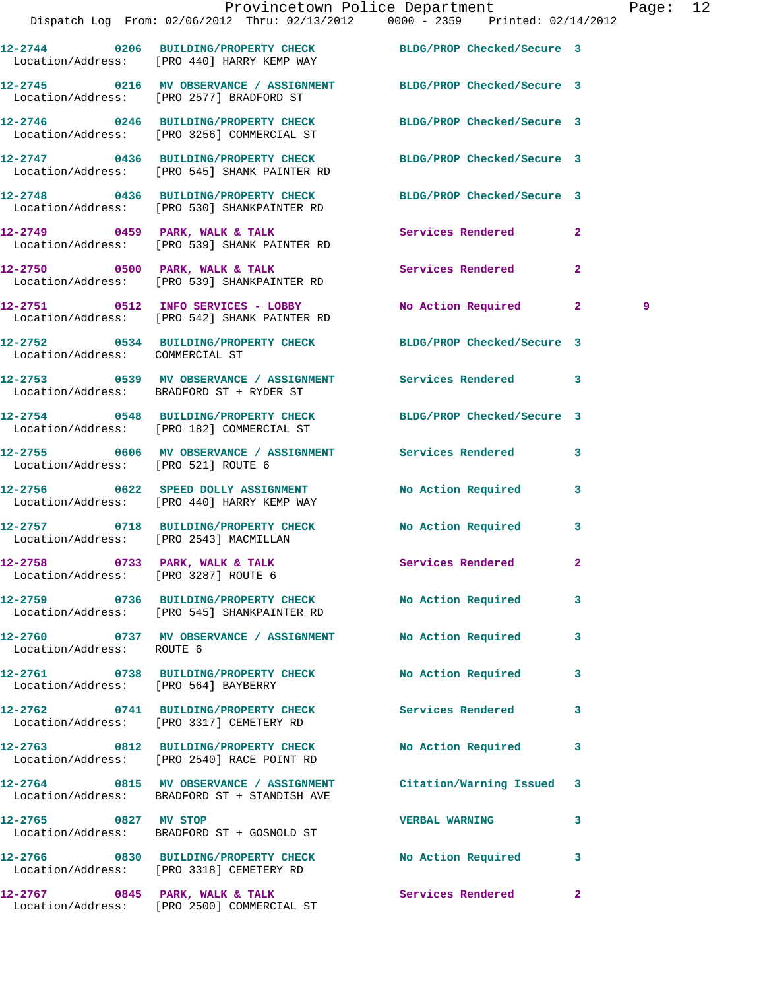|                                                                        | Dispatch Log From: 02/06/2012 Thru: 02/13/2012 0000 - 2359 Printed: 02/14/2012                                    | Provincetown Police Department |              | Page: 12 |  |
|------------------------------------------------------------------------|-------------------------------------------------------------------------------------------------------------------|--------------------------------|--------------|----------|--|
|                                                                        |                                                                                                                   |                                |              |          |  |
|                                                                        | 12-2744 0206 BUILDING/PROPERTY CHECK BLDG/PROP Checked/Secure 3<br>Location/Address: [PRO 440] HARRY KEMP WAY     |                                |              |          |  |
|                                                                        | 12-2745 0216 MV OBSERVANCE / ASSIGNMENT BLDG/PROP Checked/Secure 3<br>Location/Address: [PRO 2577] BRADFORD ST    |                                |              |          |  |
|                                                                        | 12-2746 0246 BUILDING/PROPERTY CHECK BLDG/PROP Checked/Secure 3<br>Location/Address: [PRO 3256] COMMERCIAL ST     |                                |              |          |  |
|                                                                        | 12-2747 0436 BUILDING/PROPERTY CHECK BLDG/PROP Checked/Secure 3<br>Location/Address: [PRO 545] SHANK PAINTER RD   |                                |              |          |  |
|                                                                        | 12-2748 0436 BUILDING/PROPERTY CHECK BLDG/PROP Checked/Secure 3<br>Location/Address: [PRO 530] SHANKPAINTER RD    |                                |              |          |  |
|                                                                        | $12-2749$ 0459 PARK, WALK & TALK<br>Location/Address: [PRO 539] SHANK PAINTER RD                                  | Services Rendered              | $\mathbf{2}$ |          |  |
|                                                                        | 12-2750 0500 PARK, WALK & TALK<br>Location/Address: [PRO 539] SHANKPAINTER RD                                     | Services Rendered 2            |              |          |  |
|                                                                        | 12-2751 0512 INFO SERVICES - LOBBY<br>Location/Address: [PRO 542] SHANK PAINTER RD                                | No Action Required 2           |              | 9        |  |
| Location/Address: COMMERCIAL ST                                        | 12-2752 0534 BUILDING/PROPERTY CHECK BLDG/PROP Checked/Secure 3                                                   |                                |              |          |  |
|                                                                        | 12-2753 0539 MV OBSERVANCE / ASSIGNMENT Services Rendered 3<br>Location/Address: BRADFORD ST + RYDER ST           |                                |              |          |  |
|                                                                        | 12-2754 0548 BUILDING/PROPERTY CHECK BLDG/PROP Checked/Secure 3<br>Location/Address: [PRO 182] COMMERCIAL ST      |                                |              |          |  |
| Location/Address: [PRO 521] ROUTE 6                                    | 12-2755 0606 MV OBSERVANCE / ASSIGNMENT Services Rendered 3                                                       |                                |              |          |  |
|                                                                        | 12-2756 0622 SPEED DOLLY ASSIGNMENT No Action Required 3<br>Location/Address: [PRO 440] HARRY KEMP WAY            |                                |              |          |  |
|                                                                        | 12-2757 0718 BUILDING/PROPERTY CHECK No Action Required 3<br>Location/Address: [PRO 2543] MACMILLAN               |                                |              |          |  |
| 12-2758 0733 PARK, WALK & TALK<br>Location/Address: [PRO 3287] ROUTE 6 |                                                                                                                   | <b>Services Rendered</b>       |              |          |  |
|                                                                        | 12-2759 0736 BUILDING/PROPERTY CHECK No Action Required<br>Location/Address: [PRO 545] SHANKPAINTER RD            |                                | 3            |          |  |
| Location/Address: ROUTE 6                                              | 12-2760 0737 MV OBSERVANCE / ASSIGNMENT No Action Required                                                        |                                | 3            |          |  |
| Location/Address: [PRO 564] BAYBERRY                                   | 12-2761 0738 BUILDING/PROPERTY CHECK                                                                              | <b>No Action Required</b>      | 3            |          |  |
|                                                                        | 12-2762 0741 BUILDING/PROPERTY CHECK Services Rendered<br>Location/Address: [PRO 3317] CEMETERY RD                |                                | 3            |          |  |
|                                                                        | 12-2763 0812 BUILDING/PROPERTY CHECK<br>Location/Address: [PRO 2540] RACE POINT RD                                | No Action Required             | 3            |          |  |
|                                                                        | 12-2764 0815 MV OBSERVANCE / ASSIGNMENT Citation/Warning Issued 3<br>Location/Address: BRADFORD ST + STANDISH AVE |                                |              |          |  |
| 12-2765 0827 MV STOP                                                   | Location/Address: BRADFORD ST + GOSNOLD ST                                                                        | <b>VERBAL WARNING</b>          | 3            |          |  |
|                                                                        | 12-2766 0830 BUILDING/PROPERTY CHECK No Action Required<br>Location/Address: [PRO 3318] CEMETERY RD               |                                | 3            |          |  |
|                                                                        | 12-2767 0845 PARK, WALK & TALK                                                                                    | Services Rendered              | $\mathbf{2}$ |          |  |

Location/Address: [PRO 2500] COMMERCIAL ST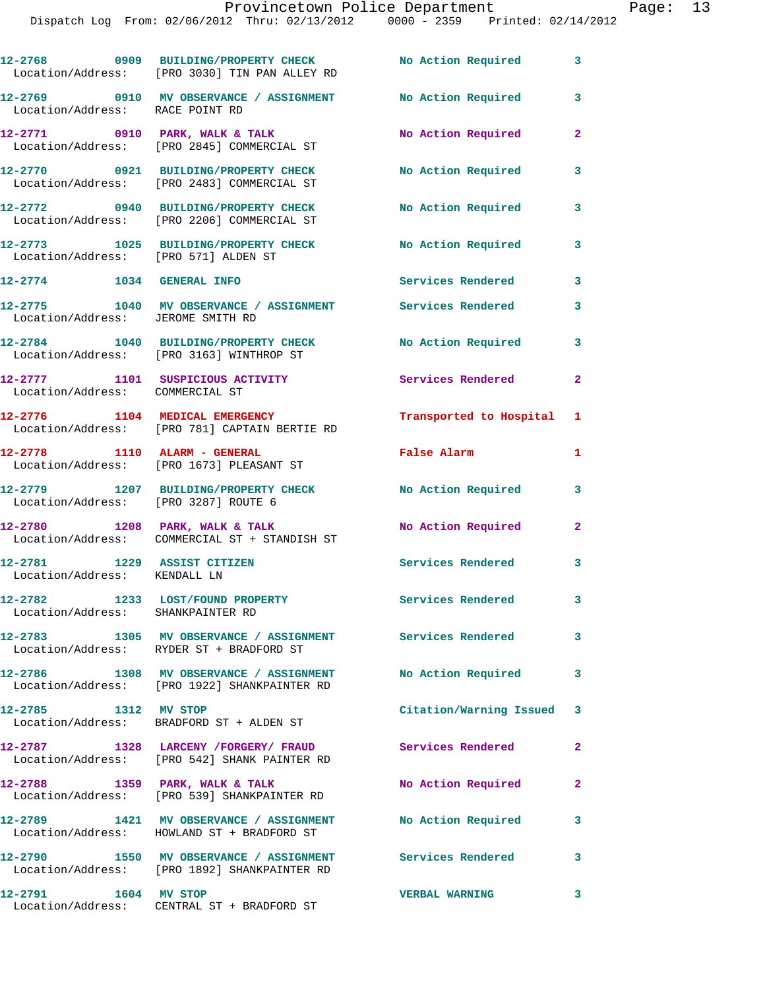|                                                             | 12-2768 0909 BUILDING/PROPERTY CHECK<br>Location/Address: [PRO 3030] TIN PAN ALLEY RD                 | <b>No Action Required</b> | 3                          |
|-------------------------------------------------------------|-------------------------------------------------------------------------------------------------------|---------------------------|----------------------------|
| Location/Address: RACE POINT RD                             | 12-2769 0910 MV OBSERVANCE / ASSIGNMENT                                                               | No Action Required        | 3                          |
|                                                             | 12-2771 0910 PARK, WALK & TALK<br>Location/Address: [PRO 2845] COMMERCIAL ST                          | No Action Required        | $\mathbf{2}$               |
|                                                             | 12-2770 0921 BUILDING/PROPERTY CHECK<br>Location/Address: [PRO 2483] COMMERCIAL ST                    | No Action Required        | 3                          |
|                                                             | 12-2772 0940 BUILDING/PROPERTY CHECK<br>Location/Address: [PRO 2206] COMMERCIAL ST                    | No Action Required        | 3                          |
| Location/Address: [PRO 571] ALDEN ST                        | 12-2773 1025 BUILDING/PROPERTY CHECK                                                                  | <b>No Action Required</b> | 3                          |
| 12-2774 1034 GENERAL INFO                                   |                                                                                                       | Services Rendered         | $\overline{\phantom{a}}$ 3 |
| Location/Address: JEROME SMITH RD                           | 12-2775 1040 MV OBSERVANCE / ASSIGNMENT Services Rendered                                             |                           | 3                          |
|                                                             | 12-2784 1040 BUILDING/PROPERTY CHECK<br>Location/Address: [PRO 3163] WINTHROP ST                      | <b>No Action Required</b> | 3                          |
| Location/Address: COMMERCIAL ST                             | 12-2777 1101 SUSPICIOUS ACTIVITY                                                                      | Services Rendered         | $\mathbf{2}$               |
|                                                             | 12-2776 1104 MEDICAL EMERGENCY<br>Location/Address: [PRO 781] CAPTAIN BERTIE RD                       | Transported to Hospital 1 |                            |
|                                                             | 12-2778 1110 ALARM - GENERAL<br>Location/Address: [PRO 1673] PLEASANT ST                              | False Alarm               | 1                          |
| Location/Address: [PRO 3287] ROUTE 6                        | 12-2779 1207 BUILDING/PROPERTY CHECK                                                                  | <b>No Action Required</b> | 3                          |
|                                                             | $12-2780$ 1208 PARK, WALK & TALK<br>Location/Address: COMMERCIAL ST + STANDISH ST                     | No Action Required        | $\mathbf{2}$               |
| 12-2781 1229 ASSIST CITIZEN<br>Location/Address: KENDALL LN |                                                                                                       | Services Rendered 3       |                            |
| Location/Address: SHANKPAINTER RD                           | 12-2782 1233 LOST/FOUND PROPERTY                                                                      | <b>Services Rendered</b>  | 3                          |
|                                                             | 12-2783 1305 MV OBSERVANCE / ASSIGNMENT Services Rendered<br>Location/Address: RYDER ST + BRADFORD ST |                           | 3                          |
|                                                             | 12-2786 1308 MV OBSERVANCE / ASSIGNMENT<br>Location/Address: [PRO 1922] SHANKPAINTER RD               | No Action Required        | 3                          |
| 12-2785 1312 MV STOP                                        | Location/Address: BRADFORD ST + ALDEN ST                                                              | Citation/Warning Issued 3 |                            |
|                                                             | 12-2787 1328 LARCENY /FORGERY/ FRAUD<br>Location/Address: [PRO 542] SHANK PAINTER RD                  | <b>Services Rendered</b>  | $\mathbf{2}$               |
|                                                             | 12-2788 1359 PARK, WALK & TALK<br>Location/Address: [PRO 539] SHANKPAINTER RD                         | <b>No Action Required</b> | $\mathbf{2}$               |
|                                                             | 12-2789 1421 MV OBSERVANCE / ASSIGNMENT<br>Location/Address: HOWLAND ST + BRADFORD ST                 | No Action Required        | 3                          |
| 12-2790                                                     | 1550 MV OBSERVANCE / ASSIGNMENT Services Rendered 3<br>Location/Address: [PRO 1892] SHANKPAINTER RD   |                           |                            |
| 12-2791 1604 MV STOP                                        |                                                                                                       | <b>VERBAL WARNING</b>     | 3                          |

Location/Address: CENTRAL ST + BRADFORD ST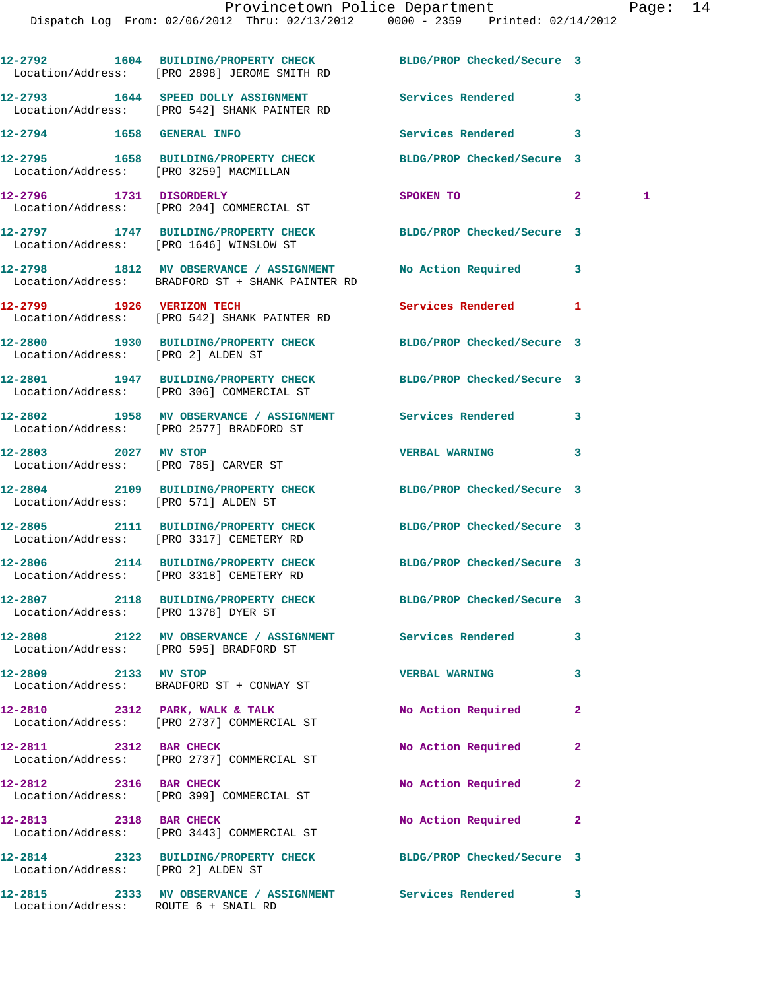|                                      | 12-2792 1604 BUILDING/PROPERTY CHECK<br>Location/Address: [PRO 2898] JEROME SMITH RD                           | BLDG/PROP Checked/Secure 3 |                   |
|--------------------------------------|----------------------------------------------------------------------------------------------------------------|----------------------------|-------------------|
|                                      | 12-2793 1644 SPEED DOLLY ASSIGNMENT Services Rendered<br>Location/Address: [PRO 542] SHANK PAINTER RD          |                            | 3                 |
| 12-2794 1658 GENERAL INFO            |                                                                                                                | Services Rendered          | 3                 |
|                                      | 12-2795 1658 BUILDING/PROPERTY CHECK BLDG/PROP Checked/Secure 3<br>Location/Address: [PRO 3259] MACMILLAN      |                            |                   |
|                                      | 12-2796 1731 DISORDERLY<br>Location/Address: [PRO 204] COMMERCIAL ST                                           | SPOKEN TO                  | $\mathbf{2}$<br>1 |
|                                      | 12-2797 1747 BUILDING/PROPERTY CHECK BLDG/PROP Checked/Secure 3<br>Location/Address: [PRO 1646] WINSLOW ST     |                            |                   |
|                                      | 12-2798 1812 MV OBSERVANCE / ASSIGNMENT No Action Required<br>Location/Address: BRADFORD ST + SHANK PAINTER RD |                            | 3                 |
| 12-2799 1926 VERIZON TECH            | Location/Address: [PRO 542] SHANK PAINTER RD                                                                   | Services Rendered          | 1                 |
| Location/Address: [PRO 2] ALDEN ST   | 12-2800 1930 BUILDING/PROPERTY CHECK BLDG/PROP Checked/Secure 3                                                |                            |                   |
|                                      | 12-2801 1947 BUILDING/PROPERTY CHECK BLDG/PROP Checked/Secure 3<br>Location/Address: [PRO 306] COMMERCIAL ST   |                            |                   |
|                                      | 12-2802 1958 MV OBSERVANCE / ASSIGNMENT Services Rendered<br>Location/Address: [PRO 2577] BRADFORD ST          |                            | 3                 |
| 12-2803 2027 MV STOP                 | Location/Address: [PRO 785] CARVER ST                                                                          | <b>VERBAL WARNING</b>      | 3                 |
| Location/Address: [PRO 571] ALDEN ST | 12-2804 2109 BUILDING/PROPERTY CHECK BLDG/PROP Checked/Secure 3                                                |                            |                   |
|                                      | 12-2805 2111 BUILDING/PROPERTY CHECK<br>Location/Address: [PRO 3317] CEMETERY RD                               | BLDG/PROP Checked/Secure 3 |                   |
|                                      | 12-2806 2114 BUILDING/PROPERTY CHECK BLDG/PROP Checked/Secure 3<br>Location/Address: [PRO 3318] CEMETERY RD    |                            |                   |
| Location/Address: [PRO 1378] DYER ST | 12-2807 2118 BUILDING/PROPERTY CHECK BLDG/PROP Checked/Secure 3                                                |                            |                   |
|                                      | 12-2808 2122 MV OBSERVANCE / ASSIGNMENT<br>Location/Address: [PRO 595] BRADFORD ST                             | <b>Services Rendered</b>   | 3                 |
| 12-2809 2133 MV STOP                 | Location/Address: BRADFORD ST + CONWAY ST                                                                      | <b>VERBAL WARNING</b>      | 3                 |
|                                      | $12-2810$ 2312 PARK, WALK & TALK<br>Location/Address: [PRO 2737] COMMERCIAL ST                                 | No Action Required         | 2                 |
| 12-2811 2312 BAR CHECK               | Location/Address: [PRO 2737] COMMERCIAL ST                                                                     | No Action Required         | $\mathbf{2}$      |
| 12-2812 2316 BAR CHECK               | Location/Address: [PRO 399] COMMERCIAL ST                                                                      | No Action Required         | $\mathbf{2}$      |
| 12-2813 2318 BAR CHECK               | Location/Address: [PRO 3443] COMMERCIAL ST                                                                     | No Action Required         | 2                 |
| Location/Address: [PRO 2] ALDEN ST   | 12-2814 2323 BUILDING/PROPERTY CHECK BLDG/PROP Checked/Secure 3                                                |                            |                   |
|                                      | 12-2815 2333 MV OBSERVANCE / ASSIGNMENT Services Rendered                                                      |                            | $\mathbf{3}$      |

Location/Address: ROUTE 6 + SNAIL RD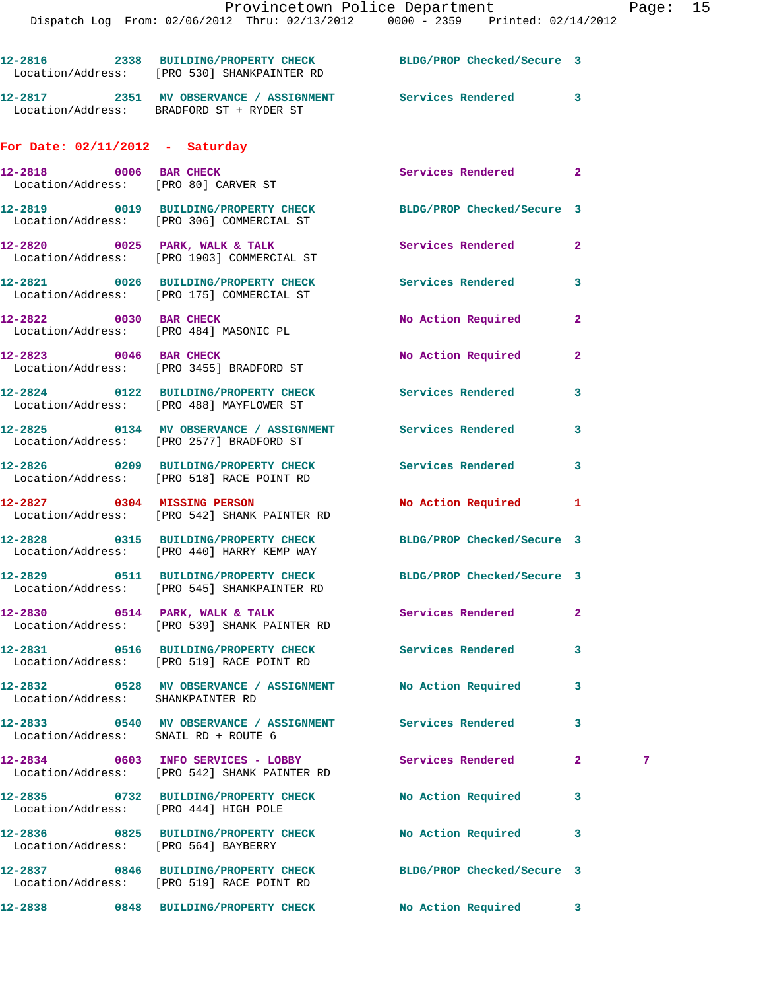|                                   | Location/Address: [PRO 530] SHANKPAINTER RD                                                           | 12-2816 2338 BUILDING/PROPERTY CHECK BLDG/PROP Checked/Secure 3 |                   |
|-----------------------------------|-------------------------------------------------------------------------------------------------------|-----------------------------------------------------------------|-------------------|
|                                   | Location/Address: BRADFORD ST + RYDER ST                                                              | 12-2817 		 2351 MV OBSERVANCE / ASSIGNMENT Services Rendered 3  |                   |
| For Date: $02/11/2012$ - Saturday |                                                                                                       |                                                                 |                   |
|                                   | 12-2818 0006 BAR CHECK<br>Location/Address: [PRO 80] CARVER ST                                        | Services Rendered                                               | $\mathbf{2}$      |
|                                   | 12-2819 0019 BUILDING/PROPERTY CHECK<br>Location/Address: [PRO 306] COMMERCIAL ST                     | BLDG/PROP Checked/Secure 3                                      |                   |
|                                   | $12-2820$ 0025 PARK, WALK & TALK<br>Location/Address: [PRO 1903] COMMERCIAL ST                        | Services Rendered                                               | $\overline{2}$    |
|                                   | 12-2821 0026 BUILDING/PROPERTY CHECK<br>Location/Address: [PRO 175] COMMERCIAL ST                     | Services Rendered                                               | 3                 |
|                                   | 12-2822 0030 BAR CHECK<br>Location/Address: [PRO 484] MASONIC PL                                      | No Action Required                                              | $\overline{2}$    |
| 12-2823 0046 BAR CHECK            | Location/Address: [PRO 3455] BRADFORD ST                                                              | No Action Required                                              | $\overline{2}$    |
|                                   | 12-2824 0122 BUILDING/PROPERTY CHECK Services Rendered<br>Location/Address: [PRO 488] MAYFLOWER ST    |                                                                 | 3                 |
|                                   | 12-2825 0134 MV OBSERVANCE / ASSIGNMENT Services Rendered<br>Location/Address: [PRO 2577] BRADFORD ST |                                                                 | 3                 |
|                                   | 12-2826 0209 BUILDING/PROPERTY CHECK<br>Location/Address: [PRO 518] RACE POINT RD                     | Services Rendered                                               | 3                 |
| 12-2827 0304 MISSING PERSON       | Location/Address: [PRO 542] SHANK PAINTER RD                                                          | <b>No Action Required</b>                                       | 1                 |
|                                   | Location/Address: [PRO 440] HARRY KEMP WAY                                                            | 12-2828 0315 BUILDING/PROPERTY CHECK BLDG/PROP Checked/Secure 3 |                   |
|                                   | Location/Address: [PRO 545] SHANKPAINTER RD                                                           | 12-2829 0511 BUILDING/PROPERTY CHECK BLDG/PROP Checked/Secure 3 |                   |
|                                   | $12-2830$ 0514 PARK, WALK & TALK<br>Location/Address: [PRO 539] SHANK PAINTER RD                      | Services Rendered                                               | $\mathbf{2}$      |
|                                   | 12-2831 0516 BUILDING/PROPERTY CHECK<br>Location/Address: [PRO 519] RACE POINT RD                     | Services Rendered                                               | 3                 |
| Location/Address: SHANKPAINTER RD | 12-2832 0528 MV OBSERVANCE / ASSIGNMENT No Action Required                                            |                                                                 | 3                 |
|                                   | 12-2833 0540 MV OBSERVANCE / ASSIGNMENT Services Rendered<br>Location/Address: SNAIL RD + ROUTE 6     |                                                                 | 3                 |
|                                   | 12-2834 0603 INFO SERVICES - LOBBY<br>Location/Address: [PRO 542] SHANK PAINTER RD                    | Services Rendered                                               | $\mathbf{2}$<br>7 |
|                                   | 12-2835 0732 BUILDING/PROPERTY CHECK No Action Required<br>Location/Address: [PRO 444] HIGH POLE      |                                                                 | 3                 |
|                                   | 12-2836 0825 BUILDING/PROPERTY CHECK<br>Location/Address: [PRO 564] BAYBERRY                          | No Action Required                                              | 3                 |
|                                   | Location/Address: [PRO 519] RACE POINT RD                                                             | 12-2837 0846 BUILDING/PROPERTY CHECK BLDG/PROP Checked/Secure 3 |                   |
| 12-2838                           | 0848 BUILDING/PROPERTY CHECK                                                                          | No Action Required                                              | 3                 |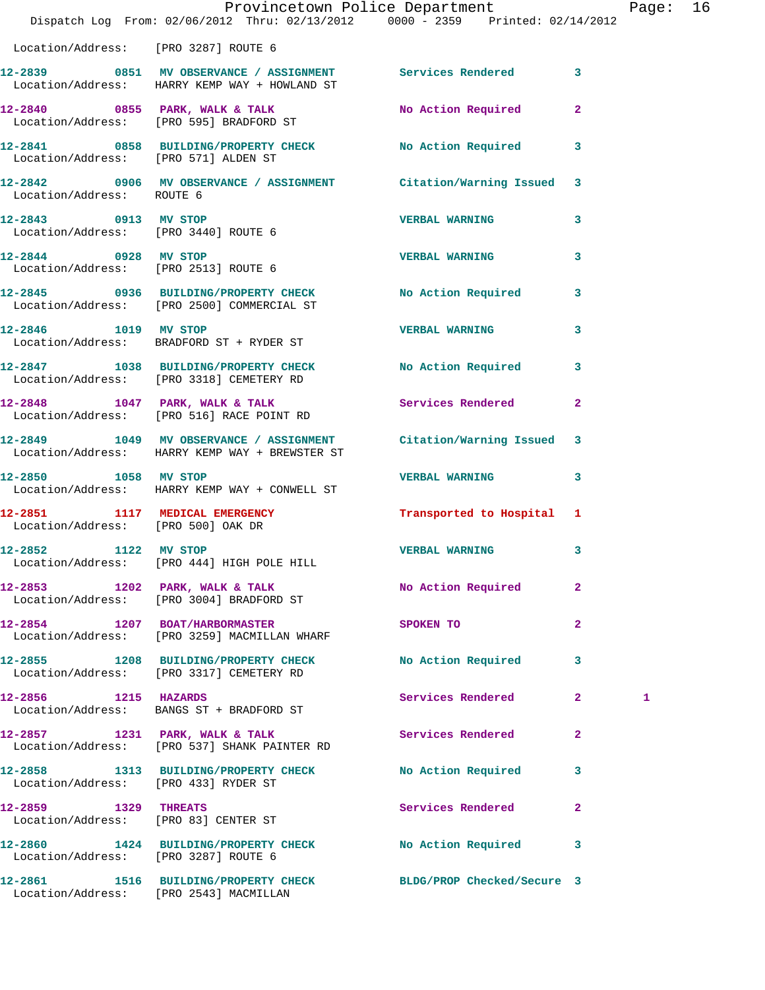|                                      |                                                                                                                     | Provincetown Police Department The Rage: 16 |              |   |  |
|--------------------------------------|---------------------------------------------------------------------------------------------------------------------|---------------------------------------------|--------------|---|--|
|                                      | Dispatch Log From: 02/06/2012 Thru: 02/13/2012 0000 - 2359 Printed: 02/14/2012                                      |                                             |              |   |  |
| Location/Address: [PRO 3287] ROUTE 6 |                                                                                                                     |                                             |              |   |  |
|                                      | 12-2839 0851 MV OBSERVANCE / ASSIGNMENT Services Rendered 3<br>Location/Address: HARRY KEMP WAY + HOWLAND ST        |                                             |              |   |  |
|                                      | 12-2840 0855 PARK, WALK & TALK NO Action Required 2<br>Location/Address: [PRO 595] BRADFORD ST                      |                                             |              |   |  |
|                                      | 12-2841 0858 BUILDING/PROPERTY CHECK No Action Required 3<br>Location/Address: [PRO 571] ALDEN ST                   |                                             |              |   |  |
| Location/Address: ROUTE 6            | 12-2842 0906 MV OBSERVANCE / ASSIGNMENT Citation/Warning Issued 3                                                   |                                             |              |   |  |
|                                      | 12-2843 0913 MV STOP<br>Location/Address: [PRO 3440] ROUTE 6                                                        | <b>VERBAL WARNING</b>                       | 3            |   |  |
|                                      | 12-2844 0928 MV STOP<br>Location/Address: [PRO 2513] ROUTE 6                                                        | <b>VERBAL WARNING</b>                       | $\mathbf{3}$ |   |  |
|                                      | 12-2845 0936 BUILDING/PROPERTY CHECK No Action Required 3<br>Location/Address: [PRO 2500] COMMERCIAL ST             |                                             |              |   |  |
|                                      | 12-2846 1019 MV STOP<br>Location/Address: BRADFORD ST + RYDER ST                                                    | VERBAL WARNING 3                            |              |   |  |
|                                      | 12-2847 1038 BUILDING/PROPERTY CHECK No Action Required 3<br>Location/Address: [PRO 3318] CEMETERY RD               |                                             |              |   |  |
|                                      | 12-2848 1047 PARK, WALK & TALK<br>Location/Address: [PRO 516] RACE POINT RD                                         | Services Rendered                           | $\mathbf{2}$ |   |  |
|                                      | 12-2849 1049 MV OBSERVANCE / ASSIGNMENT Citation/Warning Issued 3<br>Location/Address: HARRY KEMP WAY + BREWSTER ST |                                             |              |   |  |
| 12-2850 1058 MV STOP                 | Location/Address: HARRY KEMP WAY + CONWELL ST                                                                       | <b>VERBAL WARNING</b>                       | 3            |   |  |
| Location/Address: [PRO 500] OAK DR   | 12-2851 1117 MEDICAL EMERGENCY 1 Transported to Hospital 1                                                          |                                             |              |   |  |
| 1122<br>12-2852                      | MV STOP<br>Location/Address: [PRO 444] HIGH POLE HILL                                                               | <b>VERBAL WARNING</b>                       | 3            |   |  |
|                                      | 12-2853 1202 PARK, WALK & TALK<br>Location/Address: [PRO 3004] BRADFORD ST                                          | No Action Required                          | $\mathbf{2}$ |   |  |
|                                      | 12-2854 1207 BOAT/HARBORMASTER<br>Location/Address: [PRO 3259] MACMILLAN WHARF                                      | SPOKEN TO                                   | $\mathbf{2}$ |   |  |
|                                      | 12-2855 1208 BUILDING/PROPERTY CHECK No Action Required<br>Location/Address: [PRO 3317] CEMETERY RD                 |                                             | $\mathbf{3}$ |   |  |
| 12-2856 1215 HAZARDS                 | Location/Address: BANGS ST + BRADFORD ST                                                                            | Services Rendered                           | $\mathbf{2}$ | 1 |  |
|                                      | 12-2857 1231 PARK, WALK & TALK<br>Location/Address: [PRO 537] SHANK PAINTER RD                                      | Services Rendered 2                         |              |   |  |
| Location/Address: [PRO 433] RYDER ST | 12-2858 1313 BUILDING/PROPERTY CHECK                                                                                | <b>No Action Required</b>                   | $\mathbf{3}$ |   |  |
| 12-2859 1329 THREATS                 | Location/Address: [PRO 83] CENTER ST                                                                                | Services Rendered 2                         |              |   |  |
| Location/Address: [PRO 3287] ROUTE 6 | 12-2860 1424 BUILDING/PROPERTY CHECK                                                                                | <b>No Action Required</b>                   | 3            |   |  |
|                                      | 12-2861 1516 BUILDING/PROPERTY CHECK BLDG/PROP Checked/Secure 3<br>Location/Address: [PRO 2543] MACMILLAN           |                                             |              |   |  |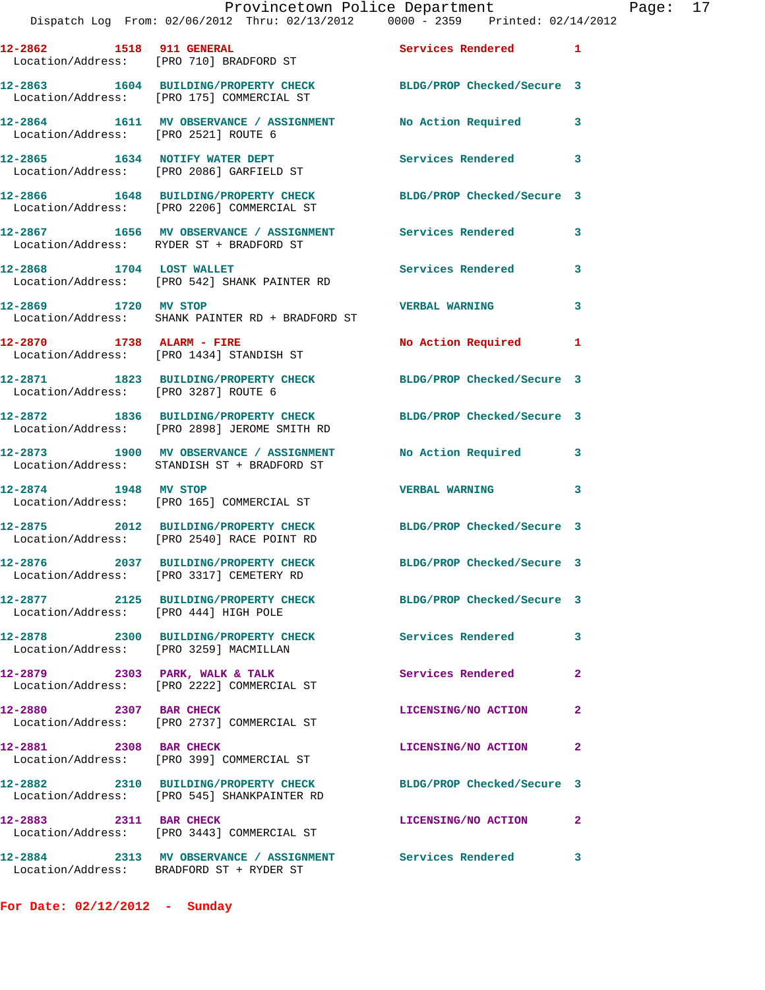## Provincetown Police Department Page: 17

Dispatch Log From: 02/06/2012 Thru: 02/13/2012 0000 - 2359 Printed: 02/14/2012

| 12-2862 1518 911 GENERAL               | Location/Address: [PRO 710] BRADFORD ST                                                               | Services Rendered 1        |              |
|----------------------------------------|-------------------------------------------------------------------------------------------------------|----------------------------|--------------|
|                                        | 12-2863 1604 BUILDING/PROPERTY CHECK<br>Location/Address: [PRO 175] COMMERCIAL ST                     | BLDG/PROP Checked/Secure 3 |              |
|                                        | 12-2864 1611 MV OBSERVANCE / ASSIGNMENT<br>Location/Address: [PRO 2521] ROUTE 6                       | No Action Required         | 3            |
| 12-2865 1634 NOTIFY WATER DEPT         | Location/Address: [PRO 2086] GARFIELD ST                                                              | Services Rendered          | 3            |
|                                        | 12-2866 1648 BUILDING/PROPERTY CHECK<br>Location/Address: [PRO 2206] COMMERCIAL ST                    | BLDG/PROP Checked/Secure 3 |              |
|                                        | 12-2867 1656 MV OBSERVANCE / ASSIGNMENT Services Rendered<br>Location/Address: RYDER ST + BRADFORD ST |                            | 3            |
| 12-2868 1704 LOST WALLET               | Location/Address: [PRO 542] SHANK PAINTER RD                                                          | Services Rendered          | 3            |
| 12-2869 1720 MV STOP                   | Location/Address: SHANK PAINTER RD + BRADFORD ST                                                      | <b>VERBAL WARNING</b>      | 3            |
| 12-2870 1738 ALARM - FIRE              | Location/Address: [PRO 1434] STANDISH ST                                                              | No Action Required 1       |              |
| Location/Address: [PRO 3287] ROUTE 6   | 12-2871 1823 BUILDING/PROPERTY CHECK                                                                  | BLDG/PROP Checked/Secure 3 |              |
|                                        | 12-2872 1836 BUILDING/PROPERTY CHECK<br>Location/Address: [PRO 2898] JEROME SMITH RD                  | BLDG/PROP Checked/Secure 3 |              |
|                                        | 12-2873 1900 MV OBSERVANCE / ASSIGNMENT<br>Location/Address: STANDISH ST + BRADFORD ST                | No Action Required         | 3            |
| 12-2874 1948 MV STOP                   | Location/Address: [PRO 165] COMMERCIAL ST                                                             | <b>VERBAL WARNING</b>      | 3            |
|                                        | 12-2875 2012 BUILDING/PROPERTY CHECK<br>Location/Address: [PRO 2540] RACE POINT RD                    | BLDG/PROP Checked/Secure 3 |              |
|                                        | 12-2876 2037 BUILDING/PROPERTY CHECK<br>Location/Address: [PRO 3317] CEMETERY RD                      | BLDG/PROP Checked/Secure 3 |              |
| Location/Address: [PRO 444] HIGH POLE  | 12-2877 2125 BUILDING/PROPERTY CHECK                                                                  | BLDG/PROP Checked/Secure 3 |              |
| Location/Address: [PRO 3259] MACMILLAN | 12-2878 2300 BUILDING/PROPERTY CHECK                                                                  | <b>Services Rendered</b>   | 3            |
|                                        | $12-2879$ 2303 PARK, WALK & TALK<br>Location/Address: [PRO 2222] COMMERCIAL ST                        | Services Rendered          | $\mathbf{2}$ |
| 2307 BAR CHECK<br>12-2880              | Location/Address: [PRO 2737] COMMERCIAL ST                                                            | LICENSING/NO ACTION        | $\mathbf{2}$ |
| 12-2881 2308 BAR CHECK                 | Location/Address: [PRO 399] COMMERCIAL ST                                                             | LICENSING/NO ACTION        | $\mathbf{2}$ |
| 12-2882                                | 2310 BUILDING/PROPERTY CHECK<br>Location/Address: [PRO 545] SHANKPAINTER RD                           | BLDG/PROP Checked/Secure 3 |              |
| 12-2883 2311 BAR CHECK                 | Location/Address: [PRO 3443] COMMERCIAL ST                                                            | LICENSING/NO ACTION        | 2            |
|                                        |                                                                                                       |                            |              |

**12-2884 2313 MV OBSERVANCE / ASSIGNMENT Services Rendered 3** 

Location/Address: BRADFORD ST + RYDER ST

**For Date: 02/12/2012 - Sunday**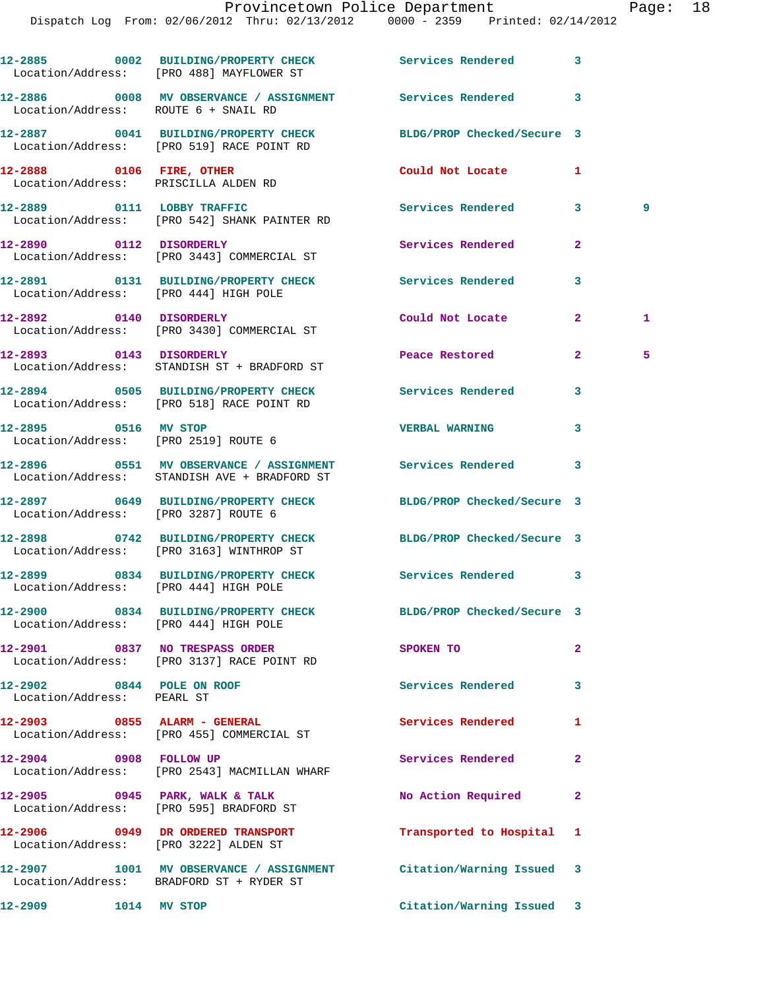## Provincetown Police Department Page: 18

|                                                                  | 12-2885 0002 BUILDING/PROPERTY CHECK Services Rendered<br>Location/Address: [PRO 488] MAYFLOWER ST            |                            | 3            |   |
|------------------------------------------------------------------|---------------------------------------------------------------------------------------------------------------|----------------------------|--------------|---|
| Location/Address: ROUTE 6 + SNAIL RD                             | 12-2886 60008 MV OBSERVANCE / ASSIGNMENT Services Rendered                                                    |                            | 3            |   |
|                                                                  | 12-2887 0041 BUILDING/PROPERTY CHECK<br>Location/Address: [PRO 519] RACE POINT RD                             | BLDG/PROP Checked/Secure 3 |              |   |
| 12-2888 0106 FIRE, OTHER<br>Location/Address: PRISCILLA ALDEN RD |                                                                                                               | Could Not Locate           | 1            |   |
|                                                                  | 12-2889 0111 LOBBY TRAFFIC<br>Location/Address: [PRO 542] SHANK PAINTER RD                                    | Services Rendered          | 3            | 9 |
| 12-2890 0112 DISORDERLY                                          | Location/Address: [PRO 3443] COMMERCIAL ST                                                                    | Services Rendered          | $\mathbf{2}$ |   |
| Location/Address: [PRO 444] HIGH POLE                            | 12-2891 0131 BUILDING/PROPERTY CHECK                                                                          | <b>Services Rendered</b>   | 3            |   |
| 12-2892 0140 DISORDERLY                                          | Location/Address: [PRO 3430] COMMERCIAL ST                                                                    | Could Not Locate           | $\mathbf{2}$ | 1 |
| 12-2893 0143 DISORDERLY                                          | Location/Address: STANDISH ST + BRADFORD ST                                                                   | Peace Restored             | $\mathbf{2}$ | 5 |
|                                                                  | 12-2894 0505 BUILDING/PROPERTY CHECK<br>Location/Address: [PRO 518] RACE POINT RD                             | Services Rendered          | 3            |   |
| 12-2895 0516 MV STOP                                             | Location/Address: [PRO 2519] ROUTE 6                                                                          | <b>VERBAL WARNING</b>      | 3            |   |
|                                                                  | 12-2896 0551 MV OBSERVANCE / ASSIGNMENT Services Rendered<br>Location/Address: STANDISH AVE + BRADFORD ST     |                            | 3            |   |
| Location/Address: [PRO 3287] ROUTE 6                             | 12-2897 0649 BUILDING/PROPERTY CHECK BLDG/PROP Checked/Secure 3                                               |                            |              |   |
|                                                                  | 12-2898 0742 BUILDING/PROPERTY CHECK<br>Location/Address: [PRO 3163] WINTHROP ST                              | BLDG/PROP Checked/Secure 3 |              |   |
| Location/Address: [PRO 444] HIGH POLE                            | 12-2899 0834 BUILDING/PROPERTY CHECK Services Rendered                                                        |                            | 3            |   |
| Location/Address: [PRO 444] HIGH POLE                            | 12-2900 0834 BUILDING/PROPERTY CHECK                                                                          | BLDG/PROP Checked/Secure 3 |              |   |
|                                                                  | 12-2901 0837 NO TRESPASS ORDER<br>Location/Address: [PRO 3137] RACE POINT RD                                  | SPOKEN TO                  | $\mathbf{2}$ |   |
| 12-2902 0844 POLE ON ROOF<br>Location/Address: PEARL ST          |                                                                                                               | Services Rendered          | 3            |   |
|                                                                  | 12-2903 0855 ALARM - GENERAL<br>Location/Address: [PRO 455] COMMERCIAL ST                                     | Services Rendered          | 1            |   |
| 12-2904 0908 FOLLOW UP                                           | Location/Address: [PRO 2543] MACMILLAN WHARF                                                                  | Services Rendered          | $\mathbf{2}$ |   |
|                                                                  | 12-2905 0945 PARK, WALK & TALK<br>Location/Address: [PRO 595] BRADFORD ST                                     | No Action Required         | $\mathbf{2}$ |   |
| Location/Address: [PRO 3222] ALDEN ST                            | 12-2906 0949 DR ORDERED TRANSPORT                                                                             | Transported to Hospital    | 1            |   |
|                                                                  | 12-2907 1001 MV OBSERVANCE / ASSIGNMENT Citation/Warning Issued 3<br>Location/Address: BRADFORD ST + RYDER ST |                            |              |   |

**12-2909 1014 MV STOP Citation/Warning Issued 3**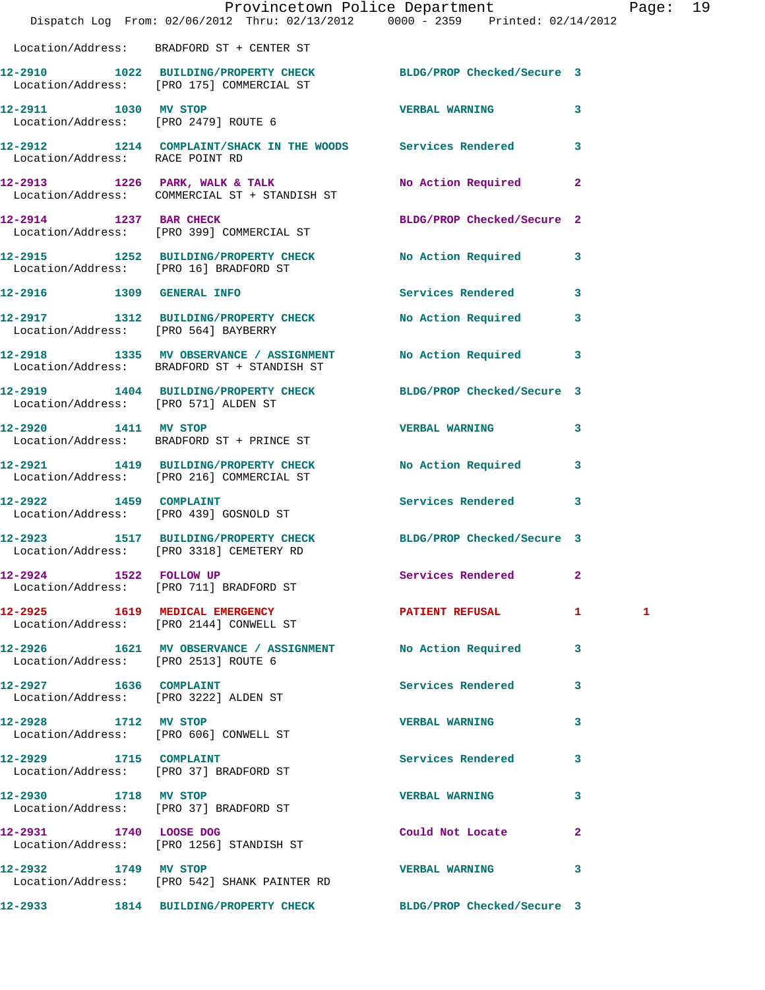|                                                                  | Dispatch Log From: 02/06/2012 Thru: 02/13/2012 0000 - 2359 Printed: 02/14/2012                               | Provincetown Police Department Page: 19 |                |   |  |
|------------------------------------------------------------------|--------------------------------------------------------------------------------------------------------------|-----------------------------------------|----------------|---|--|
|                                                                  | Location/Address: BRADFORD ST + CENTER ST                                                                    |                                         |                |   |  |
|                                                                  | 12-2910 1022 BUILDING/PROPERTY CHECK BLDG/PROP Checked/Secure 3<br>Location/Address: [PRO 175] COMMERCIAL ST |                                         |                |   |  |
|                                                                  | 12-2911 1030 MV STOP<br>Location/Address: [PRO 2479] ROUTE 6                                                 | <b>VERBAL WARNING</b>                   | 3              |   |  |
| Location/Address: RACE POINT RD                                  | 12-2912 1214 COMPLAINT/SHACK IN THE WOODS Services Rendered                                                  |                                         | $\mathbf{3}$   |   |  |
|                                                                  | 12-2913 1226 PARK, WALK & TALK<br>Location/Address: COMMERCIAL ST + STANDISH ST                              | No Action Required                      | $\mathbf{2}$   |   |  |
| 12-2914 1237 BAR CHECK                                           | Location/Address: [PRO 399] COMMERCIAL ST                                                                    | BLDG/PROP Checked/Secure 2              |                |   |  |
|                                                                  | 12-2915 1252 BUILDING/PROPERTY CHECK No Action Required 3<br>Location/Address: [PRO 16] BRADFORD ST          |                                         |                |   |  |
|                                                                  | 12-2916 1309 GENERAL INFO                                                                                    | Services Rendered                       | 3              |   |  |
| Location/Address: [PRO 564] BAYBERRY                             | 12-2917 1312 BUILDING/PROPERTY CHECK                                                                         | No Action Required 3                    |                |   |  |
|                                                                  | 12-2918 1335 MV OBSERVANCE / ASSIGNMENT No Action Required 3<br>Location/Address: BRADFORD ST + STANDISH ST  |                                         |                |   |  |
|                                                                  | 12-2919 1404 BUILDING/PROPERTY CHECK BLDG/PROP Checked/Secure 3<br>Location/Address: [PRO 571] ALDEN ST      |                                         |                |   |  |
| 12-2920 1411 MV STOP                                             | Location/Address: BRADFORD ST + PRINCE ST                                                                    | <b>VERBAL WARNING</b>                   | 3              |   |  |
|                                                                  | 12-2921 1419 BUILDING/PROPERTY CHECK No Action Required 3<br>Location/Address: [PRO 216] COMMERCIAL ST       |                                         |                |   |  |
|                                                                  | 12-2922 1459 COMPLAINT<br>Location/Address: [PRO 439] GOSNOLD ST                                             | <b>Services Rendered</b>                | 3              |   |  |
|                                                                  | 12-2923 1517 BUILDING/PROPERTY CHECK<br>Location/Address: [PRO 3318] CEMETERY RD                             | BLDG/PROP Checked/Secure 3              |                |   |  |
|                                                                  | 12-2924 1522 FOLLOW UP<br>Location/Address: [PRO 711] BRADFORD ST                                            | Services Rendered                       | $\mathbf{2}$   |   |  |
|                                                                  | 12-2925 1619 MEDICAL EMERGENCY 1 PATIENT REFUSAL 1<br>Location/Address: [PRO 2144] CONWELL ST                |                                         |                | 1 |  |
| Location/Address: [PRO 2513] ROUTE 6                             | 12-2926 1621 MV OBSERVANCE / ASSIGNMENT No Action Required                                                   |                                         | 3              |   |  |
| 12-2927 1636 COMPLAINT<br>Location/Address: [PRO 3222] ALDEN ST  |                                                                                                              | Services Rendered                       | 3              |   |  |
| 12-2928 1712 MV STOP                                             | Location/Address: [PRO 606] CONWELL ST                                                                       | <b>VERBAL WARNING</b>                   | 3              |   |  |
| 12-2929 1715 COMPLAINT<br>Location/Address: [PRO 37] BRADFORD ST |                                                                                                              | Services Rendered                       | 3              |   |  |
| 12-2930 1718 MV STOP                                             | Location/Address: [PRO 37] BRADFORD ST                                                                       | <b>VERBAL WARNING</b>                   | 3              |   |  |
|                                                                  | 12-2931 1740 LOOSE DOG<br>Location/Address: [PRO 1256] STANDISH ST                                           | Could Not Locate                        | $\overline{2}$ |   |  |
| 12-2932 1749 MV STOP                                             | Location/Address: [PRO 542] SHANK PAINTER RD                                                                 | <b>VERBAL WARNING</b>                   | 3              |   |  |
|                                                                  | 12-2933 1814 BUILDING/PROPERTY CHECK                                                                         | BLDG/PROP Checked/Secure 3              |                |   |  |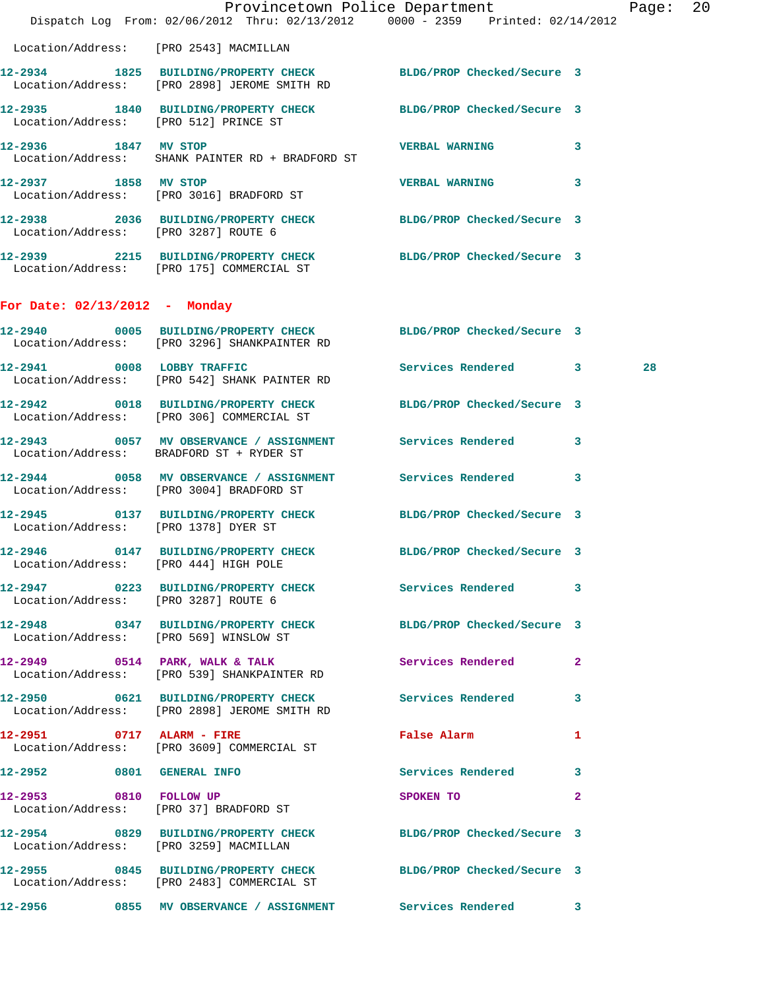|                                       | Dispatch Log From: 02/06/2012 Thru: 02/13/2012 0000 - 2359 Printed: 02/14/2012                                  | Provincetown Police Department |              | Page: | 20 |
|---------------------------------------|-----------------------------------------------------------------------------------------------------------------|--------------------------------|--------------|-------|----|
|                                       | Location/Address: [PRO 2543] MACMILLAN                                                                          |                                |              |       |    |
|                                       | 12-2934 1825 BUILDING/PROPERTY CHECK BLDG/PROP Checked/Secure 3<br>Location/Address: [PRO 2898] JEROME SMITH RD |                                |              |       |    |
| Location/Address: [PRO 512] PRINCE ST | 12-2935 1840 BUILDING/PROPERTY CHECK BLDG/PROP Checked/Secure 3                                                 |                                |              |       |    |
| 12-2936 1847 MV STOP                  | Location/Address: SHANK PAINTER RD + BRADFORD ST                                                                | VERBAL WARNING 3               |              |       |    |
| 12-2937 1858 MV STOP                  | Location/Address: [PRO 3016] BRADFORD ST                                                                        | <b>VERBAL WARNING</b>          | $\mathbf{3}$ |       |    |
| Location/Address: [PRO 3287] ROUTE 6  | 12-2938 2036 BUILDING/PROPERTY CHECK BLDG/PROP Checked/Secure 3                                                 |                                |              |       |    |
|                                       | 12-2939 2215 BUILDING/PROPERTY CHECK BLDG/PROP Checked/Secure 3<br>Location/Address: [PRO 175] COMMERCIAL ST    |                                |              |       |    |
| For Date: 02/13/2012 - Monday         |                                                                                                                 |                                |              |       |    |
|                                       | 12-2940 0005 BUILDING/PROPERTY CHECK BLDG/PROP Checked/Secure 3<br>Location/Address: [PRO 3296] SHANKPAINTER RD |                                |              |       |    |
|                                       | 12-2941 0008 LOBBY TRAFFIC<br>Location/Address: [PRO 542] SHANK PAINTER RD                                      | Services Rendered 3            |              | 28    |    |
|                                       | 12-2942 0018 BUILDING/PROPERTY CHECK BLDG/PROP Checked/Secure 3<br>Location/Address: [PRO 306] COMMERCIAL ST    |                                |              |       |    |
|                                       | 12-2943 0057 MV OBSERVANCE / ASSIGNMENT Services Rendered 3<br>Location/Address: BRADFORD ST + RYDER ST         |                                |              |       |    |
|                                       | 12-2944 0058 MV OBSERVANCE / ASSIGNMENT Services Rendered 3<br>Location/Address: [PRO 3004] BRADFORD ST         |                                |              |       |    |
| Location/Address: [PRO 1378] DYER ST  | 12-2945 0137 BUILDING/PROPERTY CHECK BLDG/PROP Checked/Secure 3                                                 |                                |              |       |    |
| 12-2946                               | 0147 BUILDING/PROPERTY CHECK BLDG/PROP Checked/Secure 3<br>Location/Address: [PRO 444] HIGH POLE                |                                |              |       |    |
|                                       | 12-2947 0223 BUILDING/PROPERTY CHECK Services Rendered 3<br>Location/Address: [PRO 3287] ROUTE 6                |                                |              |       |    |
|                                       | 12-2948 0347 BUILDING/PROPERTY CHECK BLDG/PROP Checked/Secure 3<br>Location/Address: [PRO 569] WINSLOW ST       |                                |              |       |    |
|                                       | 12-2949 0514 PARK, WALK & TALK Services Rendered 2<br>Location/Address: [PRO 539] SHANKPAINTER RD               |                                |              |       |    |
|                                       | 12-2950 0621 BUILDING/PROPERTY CHECK Services Rendered 3<br>Location/Address: [PRO 2898] JEROME SMITH RD        |                                |              |       |    |
|                                       | 12-2951 0717 ALARM - FIRE<br>Location/Address: [PRO 3609] COMMERCIAL ST                                         | <b>False Alarm</b>             | $\mathbf{1}$ |       |    |
| 12-2952 0801 GENERAL INFO             |                                                                                                                 | Services Rendered 3            |              |       |    |
| 12-2953 0810 FOLLOW UP                | Location/Address: [PRO 37] BRADFORD ST                                                                          | SPOKEN TO                      | $\mathbf{2}$ |       |    |
|                                       | 12-2954 0829 BUILDING/PROPERTY CHECK BLDG/PROP Checked/Secure 3<br>Location/Address: [PRO 3259] MACMILLAN       |                                |              |       |    |
|                                       | 12-2955 0845 BUILDING/PROPERTY CHECK BLDG/PROP Checked/Secure 3<br>Location/Address: [PRO 2483] COMMERCIAL ST   |                                |              |       |    |
|                                       | 12-2956 0855 MV OBSERVANCE / ASSIGNMENT Services Rendered 3                                                     |                                |              |       |    |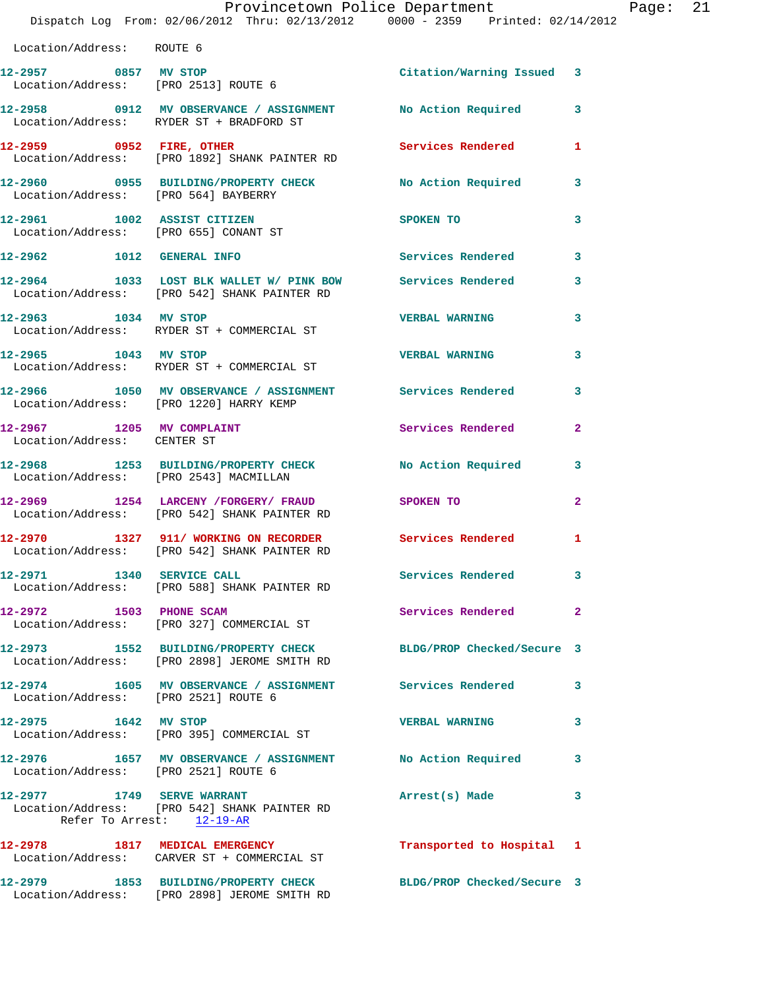|                                                    |  | Provincetown Police Department |  |                                     | Page: | -21 |
|----------------------------------------------------|--|--------------------------------|--|-------------------------------------|-------|-----|
| Dispatch Log From: $02/06/2012$ Thru: $02/13/2012$ |  |                                |  | $0000 - 2359$ Printed: $02/14/2012$ |       |     |
| Location/Address: ROUTE 6                          |  |                                |  |                                     |       |     |

| Location/Address: ROUTE 6                                    |                                                                             |                           |   |
|--------------------------------------------------------------|-----------------------------------------------------------------------------|---------------------------|---|
| 12-2957 0857 MV STOP<br>Location/Address: [PRO 2513] ROUTE 6 |                                                                             | Citation/Warning Issued 3 |   |
|                                                              | Location/Address: RYDER ST + BRADFORD ST                                    | No Action Required        | 3 |
| 12-2959 0952 FIRE, OTHER                                     | Location/Address: [PRO 1892] SHANK PAINTER RD                               | Services Rendered         | 1 |
|                                                              | Location/Address: [PRO 564] BAYBERRY                                        | No Action Required        | 3 |
| 12-2961 1002 ASSIST CITIZEN                                  | Location/Address: [PRO 655] CONANT ST                                       | SPOKEN TO                 | 3 |
| 12-2962<br>1012                                              | <b>GENERAL INFO</b>                                                         | Services Rendered         | 3 |
| $12 - 2964$ 1033<br>Location/Address:                        | LOST BLK WALLET W/ PINK BOW Services Rendered<br>[PRO 542] SHANK PAINTER RD |                           | 3 |

**12-2963 1034 MV STOP VERBAL WARNING 3**  Location/Address: RYDER ST + COMMERCIAL ST **12-2965 1043 MV STOP VERBAL WARNING 3**  Location/Address: RYDER ST + COMMERCIAL ST

 Location/Address: [PRO 1220] HARRY KEMP **12-2967** 1205 MV COMPLAINT Services Rendered 2 Location/Address: CENTER ST **12-2968 1253 BUILDING/PROPERTY CHECK No Action Required 3**  Location/Address: [PRO 2543] MACMILLAN **12-2969 1254 LARCENY /FORGERY/ FRAUD SPOKEN TO 2**  Location/Address: [PRO 542] SHANK PAINTER RD **12-2970 1327 911/ WORKING ON RECORDER Services Rendered 1**  Location/Address: [PRO 542] SHANK PAINTER RD **12-2971 1340 SERVICE CALL Services Rendered 3**  Location/Address: [PRO 588] SHANK PAINTER RD **12-2972 1503 PHONE SCAM Services Rendered 2** 

**12-2966 1050 MV OBSERVANCE / ASSIGNMENT Services Rendered 3** 

 Location/Address: [PRO 327] COMMERCIAL ST **12-2973 1552 BUILDING/PROPERTY CHECK BLDG/PROP Checked/Secure 3**  Location/Address: [PRO 2898] JEROME SMITH RD **12-2974 1605 MV OBSERVANCE / ASSIGNMENT Services Rendered 3**  Location/Address: [PRO 2521] ROUTE 6 **12-2975 1642 MV STOP VERBAL WARNING 3**  Location/Address: [PRO 395] COMMERCIAL ST **12-2976 1657 MV OBSERVANCE / ASSIGNMENT No Action Required 3**  Location/Address: [PRO 2521] ROUTE 6 **12-2977 1749 SERVE WARRANT Arrest(s) Made 3**  Location/Address: [PRO 542] SHANK PAINTER RD Refer To Arrest: 12-19-AR **12-2978 1817 MEDICAL EMERGENCY Transported to Hospital 1**  Location/Address: CARVER ST + COMMERCIAL ST

**12-2979 1853 BUILDING/PROPERTY CHECK BLDG/PROP Checked/Secure 3**  Location/Address: [PRO 2898] JEROME SMITH RD